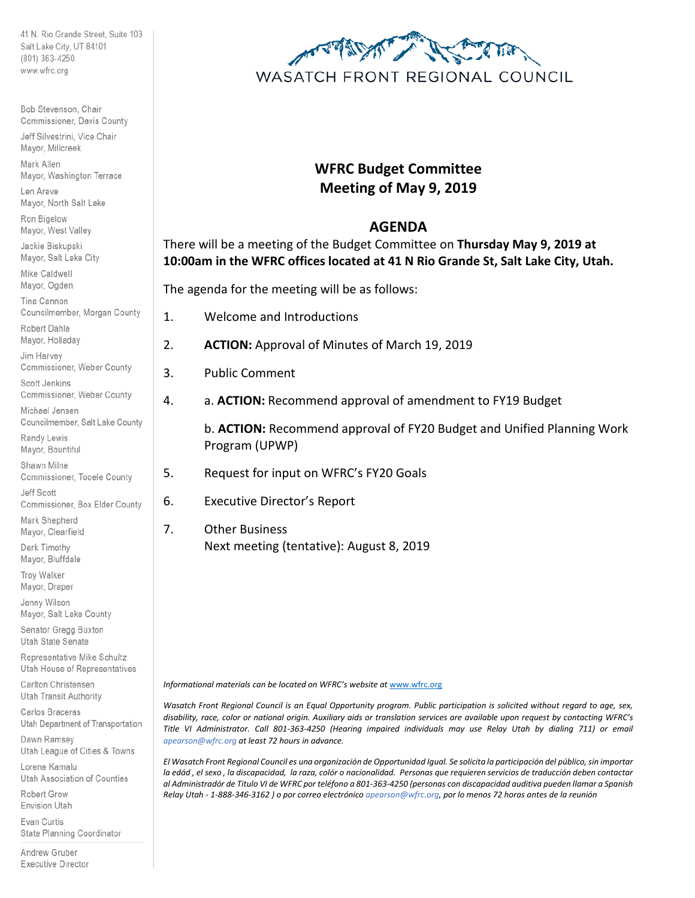41 N. Rio Grande Street, Suite 103 Salt Lake City, UT 84101 (801) 363-4250 www.wfrc.org

Bob Stevenson, Chair Commissioner, Davis County Jeff Silvestrini, Vice Chair Mayor, Millcreek Mark Allen Mayor, Washington Terrace Len Arave Mayor, North Salt Lake Ron Bigelow Mayor, West Valley Jackie Biskupski Mayor, Salt Lake City Mike Caldwell Mayor, Ogden Tina Cannon Councilmember, Morgan County Robert Dahle Mayor, Holladay Jim Harvey Commissioner, Weber County Scott Jenkins Commissioner, Weber County Michael Jensen Councilmember, Salt Lake County Randy Lewis Mayor, Bountiful Shawn Milne Commissioner, Tooele County Jeff Scott Commissioner, Box Elder County Mark Shepherd Mayor, Clearfield Derk Timothy Mayor, Bluffdale Troy Walker Mayor, Draper

Jenny Wilson Mayor, Salt Lake County

Senator Gregg Buxton Utah State Senate

Representative Mike Schultz Utah House of Representatives

Carlton Christensen Utah Transit Authority

Carlos Braceras Utah Department of Transportation

Dawn Ramsey Utah League of Cities & Towns

Lorene Kamalu Utah Association of Counties

Robert Grow **Envision Utah** 

Evan Curtis State Planning Coordinator

Andrew Gruber **Executive Director** 



## **WFRC Budget Committee Meeting of May 9, 2019**

## **AGENDA**

There will be a meeting of the Budget Committee on **Thursday May 9, 2019 at 10:00am in the WFRC offices located at 41 N Rio Grande St, Salt Lake City, Utah.**

The agenda for the meeting will be as follows:

- 1. Welcome and Introductions
- 2. **ACTION:** Approval of Minutes of March 19, 2019
- 3. Public Comment
- 4. a. **ACTION:** Recommend approval of amendment to FY19 Budget

b. **ACTION:** Recommend approval of FY20 Budget and Unified Planning Work Program (UPWP)

5. Request for input on WFRC's FY20 Goals

6. Executive Director's Report

7. Other Business Next meeting (tentative): August 8, 2019

Informational materials can be located on WFRC's website at [www.wfrc.org](http://www.wfrc.org/)

*Wasatch Front Regional Council is an Equal Opportunity program. Public participation is solicited without regard to age, sex, disability, race, color or national origin. Auxiliary aids or translation services are available upon request by contacting WFRC's*  Title VI Administrator. Call 801-363-4250 (Hearing impaired individuals may use Relay Utah by dialing 711) or email *apearson@wfrc.org at least 72 hours in advance.*

*El Wasatch Front Regional Council es una organización de Opportunidad Igual. Se solicita la participación del público, sin importar la edád , el sexo , la discapacidad, la raza, colór o nacionalidad. Personas que requieren servicios de traducción deben contactar al Administradór de Titulo VI de WFRC por teléfono a 801-363-4250 (personas con discapacidad auditiva pueden llamar a Spanish Relay Utah - 1-888-346-3162 ) o por correo electrónico apearson@wfrc.org, por lo menos 72 horas antes de la reunión*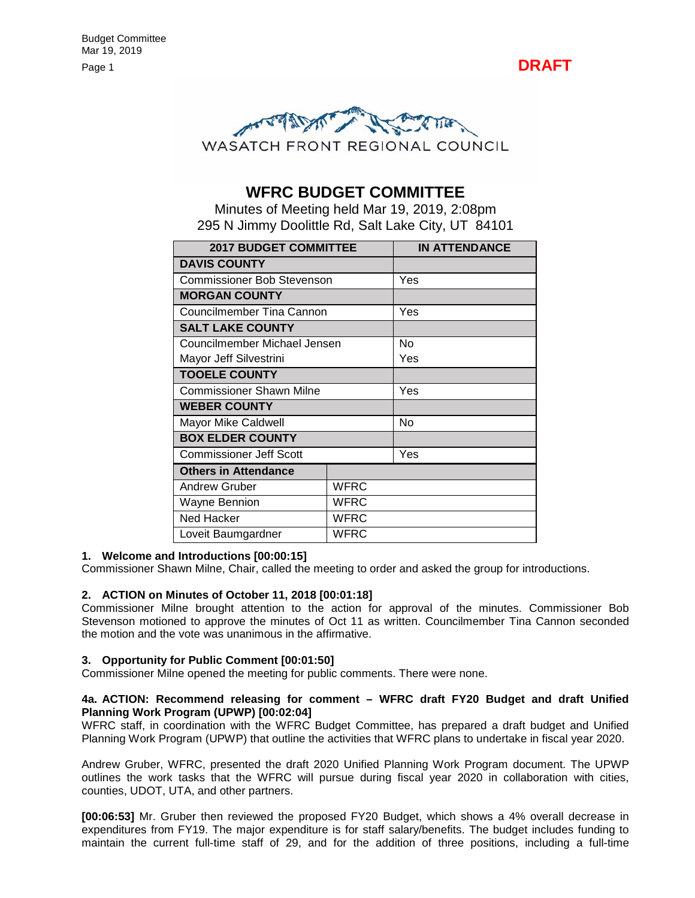



## **WFRC BUDGET COMMITTEE**

Minutes of Meeting held Mar 19, 2019, 2:08pm 295 N Jimmy Doolittle Rd, Salt Lake City, UT 84101

| <b>2017 BUDGET COMMITTEE</b>      |             | <b>IN ATTENDANCE</b> |
|-----------------------------------|-------------|----------------------|
| <b>DAVIS COUNTY</b>               |             |                      |
| <b>Commissioner Bob Stevenson</b> |             | Yes                  |
| <b>MORGAN COUNTY</b>              |             |                      |
| Councilmember Tina Cannon         |             | Yes                  |
| <b>SALT LAKE COUNTY</b>           |             |                      |
| Councilmember Michael Jensen      |             | N٥                   |
| Mayor Jeff Silvestrini            |             | Yes                  |
| <b>TOOELE COUNTY</b>              |             |                      |
| <b>Commissioner Shawn Milne</b>   |             | Yes                  |
| <b>WEBER COUNTY</b>               |             |                      |
| <b>Mayor Mike Caldwell</b>        |             | No                   |
| <b>BOX ELDER COUNTY</b>           |             |                      |
| <b>Commissioner Jeff Scott</b>    |             | Yes                  |
| <b>Others in Attendance</b>       |             |                      |
| <b>Andrew Gruber</b>              | <b>WFRC</b> |                      |
| WFRC<br><b>Wayne Bennion</b>      |             |                      |
| <b>WFRC</b><br>Ned Hacker         |             |                      |
| WFRC<br>Loveit Baumgardner        |             |                      |

#### **1. Welcome and Introductions [00:00:15]**

Commissioner Shawn Milne, Chair, called the meeting to order and asked the group for introductions.

#### **2. ACTION on Minutes of October 11, 2018 [00:01:18]**

Commissioner Milne brought attention to the action for approval of the minutes. Commissioner Bob Stevenson motioned to approve the minutes of Oct 11 as written. Councilmember Tina Cannon seconded the motion and the vote was unanimous in the affirmative.

#### **3. Opportunity for Public Comment [00:01:50]**

Commissioner Milne opened the meeting for public comments. There were none.

#### **4a. ACTION: Recommend releasing for comment – WFRC draft FY20 Budget and draft Unified Planning Work Program (UPWP) [00:02:04]**

WFRC staff, in coordination with the WFRC Budget Committee, has prepared a draft budget and Unified Planning Work Program (UPWP) that outline the activities that WFRC plans to undertake in fiscal year 2020.

Andrew Gruber, WFRC, presented the draft 2020 Unified Planning Work Program document. The UPWP outlines the work tasks that the WFRC will pursue during fiscal year 2020 in collaboration with cities, counties, UDOT, UTA, and other partners.

**[00:06:53]** Mr. Gruber then reviewed the proposed FY20 Budget, which shows a 4% overall decrease in expenditures from FY19. The major expenditure is for staff salary/benefits. The budget includes funding to maintain the current full-time staff of 29, and for the addition of three positions, including a full-time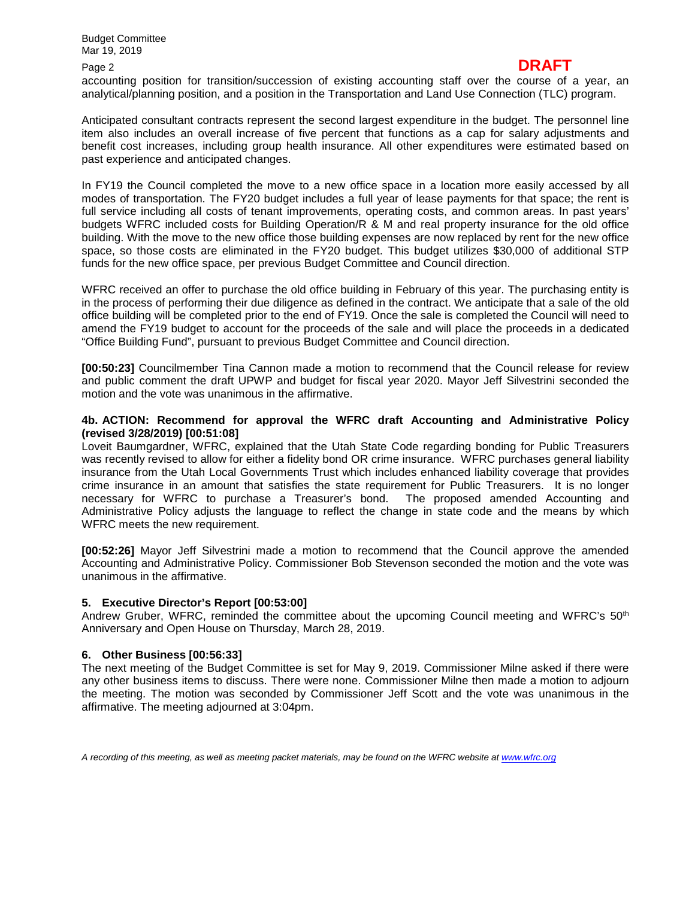## Page 2 **DRAFT**

accounting position for transition/succession of existing accounting staff over the course of a year, an analytical/planning position, and a position in the Transportation and Land Use Connection (TLC) program.

Anticipated consultant contracts represent the second largest expenditure in the budget. The personnel line item also includes an overall increase of five percent that functions as a cap for salary adjustments and benefit cost increases, including group health insurance. All other expenditures were estimated based on past experience and anticipated changes.

In FY19 the Council completed the move to a new office space in a location more easily accessed by all modes of transportation. The FY20 budget includes a full year of lease payments for that space; the rent is full service including all costs of tenant improvements, operating costs, and common areas. In past years' budgets WFRC included costs for Building Operation/R & M and real property insurance for the old office building. With the move to the new office those building expenses are now replaced by rent for the new office space, so those costs are eliminated in the FY20 budget. This budget utilizes \$30,000 of additional STP funds for the new office space, per previous Budget Committee and Council direction.

WFRC received an offer to purchase the old office building in February of this year. The purchasing entity is in the process of performing their due diligence as defined in the contract. We anticipate that a sale of the old office building will be completed prior to the end of FY19. Once the sale is completed the Council will need to amend the FY19 budget to account for the proceeds of the sale and will place the proceeds in a dedicated "Office Building Fund", pursuant to previous Budget Committee and Council direction.

**[00:50:23]** Councilmember Tina Cannon made a motion to recommend that the Council release for review and public comment the draft UPWP and budget for fiscal year 2020. Mayor Jeff Silvestrini seconded the motion and the vote was unanimous in the affirmative.

#### **4b. ACTION: Recommend for approval the WFRC draft Accounting and Administrative Policy (revised 3/28/2019) [00:51:08]**

Loveit Baumgardner, WFRC, explained that the Utah State Code regarding bonding for Public Treasurers was recently revised to allow for either a fidelity bond OR crime insurance. WFRC purchases general liability insurance from the Utah Local Governments Trust which includes enhanced liability coverage that provides crime insurance in an amount that satisfies the state requirement for Public Treasurers. It is no longer necessary for WFRC to purchase a Treasurer's bond. The proposed amended Accounting and Administrative Policy adjusts the language to reflect the change in state code and the means by which WFRC meets the new requirement.

**[00:52:26]** Mayor Jeff Silvestrini made a motion to recommend that the Council approve the amended Accounting and Administrative Policy. Commissioner Bob Stevenson seconded the motion and the vote was unanimous in the affirmative.

#### **5. Executive Director's Report [00:53:00]**

Andrew Gruber, WFRC, reminded the committee about the upcoming Council meeting and WFRC's 50<sup>th</sup> Anniversary and Open House on Thursday, March 28, 2019.

#### **6. Other Business [00:56:33]**

The next meeting of the Budget Committee is set for May 9, 2019. Commissioner Milne asked if there were any other business items to discuss. There were none. Commissioner Milne then made a motion to adjourn the meeting. The motion was seconded by Commissioner Jeff Scott and the vote was unanimous in the affirmative. The meeting adjourned at 3:04pm.

*A recording of this meeting, as well as meeting packet materials, may be found on the WFRC website at [www.wfrc.org](http://www.wfrc.org/)*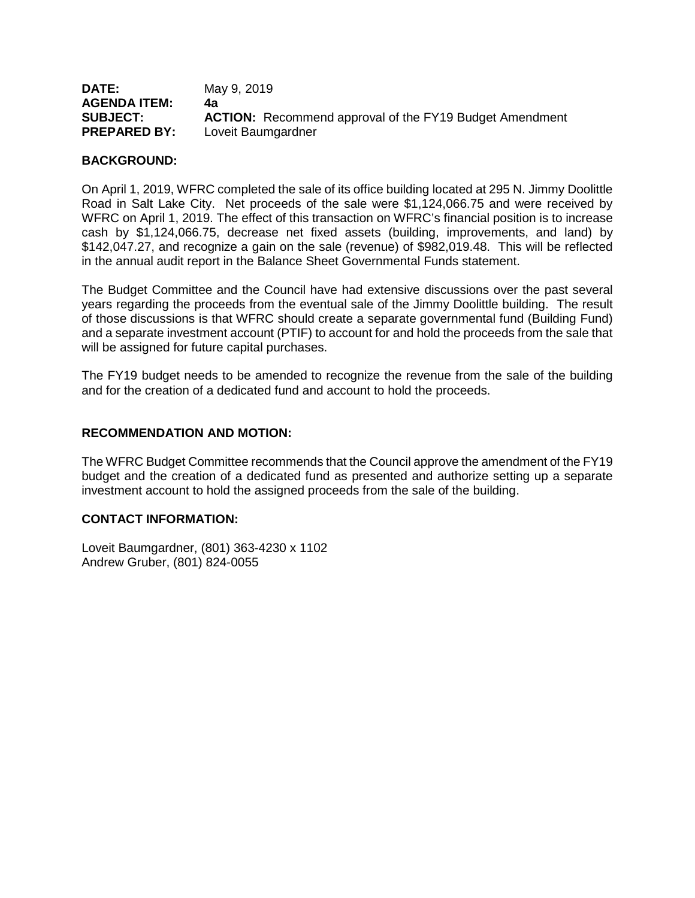| <b>DATE:</b>        | May 9, 2019                                                    |
|---------------------|----------------------------------------------------------------|
| <b>AGENDA ITEM:</b> | 4а                                                             |
| <b>SUBJECT:</b>     | <b>ACTION:</b> Recommend approval of the FY19 Budget Amendment |
| <b>PREPARED BY:</b> | Loveit Baumgardner                                             |

#### **BACKGROUND:**

On April 1, 2019, WFRC completed the sale of its office building located at 295 N. Jimmy Doolittle Road in Salt Lake City. Net proceeds of the sale were \$1,124,066.75 and were received by WFRC on April 1, 2019. The effect of this transaction on WFRC's financial position is to increase cash by \$1,124,066.75, decrease net fixed assets (building, improvements, and land) by \$142,047.27, and recognize a gain on the sale (revenue) of \$982,019.48. This will be reflected in the annual audit report in the Balance Sheet Governmental Funds statement.

The Budget Committee and the Council have had extensive discussions over the past several years regarding the proceeds from the eventual sale of the Jimmy Doolittle building. The result of those discussions is that WFRC should create a separate governmental fund (Building Fund) and a separate investment account (PTIF) to account for and hold the proceeds from the sale that will be assigned for future capital purchases.

The FY19 budget needs to be amended to recognize the revenue from the sale of the building and for the creation of a dedicated fund and account to hold the proceeds.

#### **RECOMMENDATION AND MOTION:**

The WFRC Budget Committee recommends that the Council approve the amendment of the FY19 budget and the creation of a dedicated fund as presented and authorize setting up a separate investment account to hold the assigned proceeds from the sale of the building.

#### **CONTACT INFORMATION:**

Loveit Baumgardner, (801) 363-4230 x 1102 Andrew Gruber, (801) 824-0055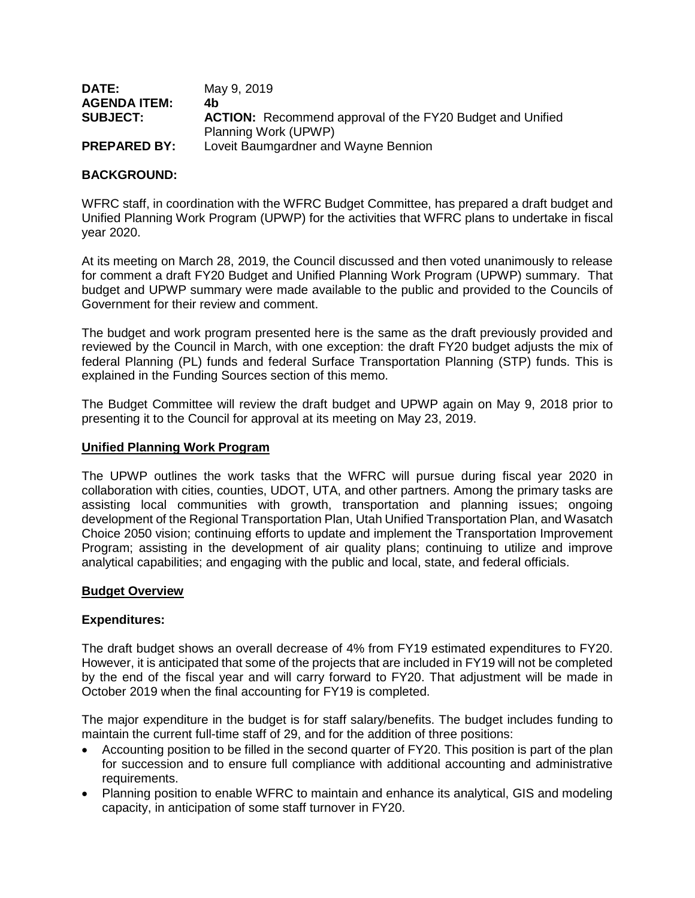| <b>DATE:</b>        | May 9, 2019                                                      |
|---------------------|------------------------------------------------------------------|
| <b>AGENDA ITEM:</b> | 4b                                                               |
| <b>SUBJECT:</b>     | <b>ACTION:</b> Recommend approval of the FY20 Budget and Unified |
|                     | Planning Work (UPWP)                                             |
| <b>PREPARED BY:</b> | Loveit Baumgardner and Wayne Bennion                             |

#### **BACKGROUND:**

WFRC staff, in coordination with the WFRC Budget Committee, has prepared a draft budget and Unified Planning Work Program (UPWP) for the activities that WFRC plans to undertake in fiscal year 2020.

At its meeting on March 28, 2019, the Council discussed and then voted unanimously to release for comment a draft FY20 Budget and Unified Planning Work Program (UPWP) summary. That budget and UPWP summary were made available to the public and provided to the Councils of Government for their review and comment.

The budget and work program presented here is the same as the draft previously provided and reviewed by the Council in March, with one exception: the draft FY20 budget adjusts the mix of federal Planning (PL) funds and federal Surface Transportation Planning (STP) funds. This is explained in the Funding Sources section of this memo.

The Budget Committee will review the draft budget and UPWP again on May 9, 2018 prior to presenting it to the Council for approval at its meeting on May 23, 2019.

#### **Unified Planning Work Program**

The UPWP outlines the work tasks that the WFRC will pursue during fiscal year 2020 in collaboration with cities, counties, UDOT, UTA, and other partners. Among the primary tasks are assisting local communities with growth, transportation and planning issues; ongoing development of the Regional Transportation Plan, Utah Unified Transportation Plan, and Wasatch Choice 2050 vision; continuing efforts to update and implement the Transportation Improvement Program; assisting in the development of air quality plans; continuing to utilize and improve analytical capabilities; and engaging with the public and local, state, and federal officials.

#### **Budget Overview**

#### **Expenditures:**

The draft budget shows an overall decrease of 4% from FY19 estimated expenditures to FY20. However, it is anticipated that some of the projects that are included in FY19 will not be completed by the end of the fiscal year and will carry forward to FY20. That adjustment will be made in October 2019 when the final accounting for FY19 is completed.

The major expenditure in the budget is for staff salary/benefits. The budget includes funding to maintain the current full-time staff of 29, and for the addition of three positions:

- Accounting position to be filled in the second quarter of FY20. This position is part of the plan for succession and to ensure full compliance with additional accounting and administrative requirements.
- Planning position to enable WFRC to maintain and enhance its analytical, GIS and modeling capacity, in anticipation of some staff turnover in FY20.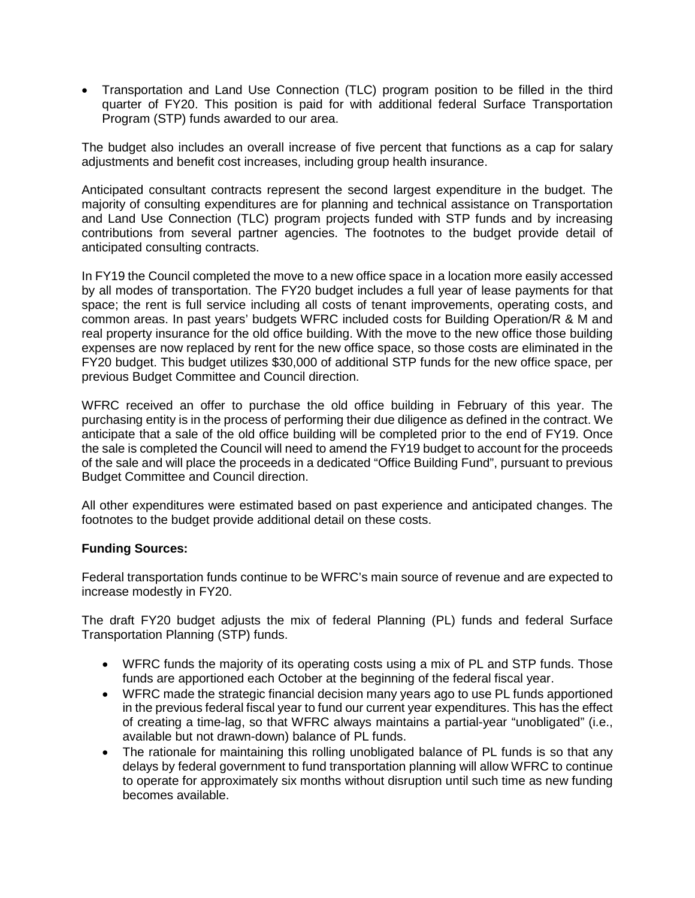• Transportation and Land Use Connection (TLC) program position to be filled in the third quarter of FY20. This position is paid for with additional federal Surface Transportation Program (STP) funds awarded to our area.

The budget also includes an overall increase of five percent that functions as a cap for salary adjustments and benefit cost increases, including group health insurance.

Anticipated consultant contracts represent the second largest expenditure in the budget. The majority of consulting expenditures are for planning and technical assistance on Transportation and Land Use Connection (TLC) program projects funded with STP funds and by increasing contributions from several partner agencies. The footnotes to the budget provide detail of anticipated consulting contracts.

In FY19 the Council completed the move to a new office space in a location more easily accessed by all modes of transportation. The FY20 budget includes a full year of lease payments for that space; the rent is full service including all costs of tenant improvements, operating costs, and common areas. In past years' budgets WFRC included costs for Building Operation/R & M and real property insurance for the old office building. With the move to the new office those building expenses are now replaced by rent for the new office space, so those costs are eliminated in the FY20 budget. This budget utilizes \$30,000 of additional STP funds for the new office space, per previous Budget Committee and Council direction.

WFRC received an offer to purchase the old office building in February of this year. The purchasing entity is in the process of performing their due diligence as defined in the contract. We anticipate that a sale of the old office building will be completed prior to the end of FY19. Once the sale is completed the Council will need to amend the FY19 budget to account for the proceeds of the sale and will place the proceeds in a dedicated "Office Building Fund", pursuant to previous Budget Committee and Council direction.

All other expenditures were estimated based on past experience and anticipated changes. The footnotes to the budget provide additional detail on these costs.

#### **Funding Sources:**

Federal transportation funds continue to be WFRC's main source of revenue and are expected to increase modestly in FY20.

The draft FY20 budget adjusts the mix of federal Planning (PL) funds and federal Surface Transportation Planning (STP) funds.

- WFRC funds the majority of its operating costs using a mix of PL and STP funds. Those funds are apportioned each October at the beginning of the federal fiscal year.
- WFRC made the strategic financial decision many years ago to use PL funds apportioned in the previous federal fiscal year to fund our current year expenditures. This has the effect of creating a time-lag, so that WFRC always maintains a partial-year "unobligated" (i.e., available but not drawn-down) balance of PL funds.
- The rationale for maintaining this rolling unobligated balance of PL funds is so that any delays by federal government to fund transportation planning will allow WFRC to continue to operate for approximately six months without disruption until such time as new funding becomes available.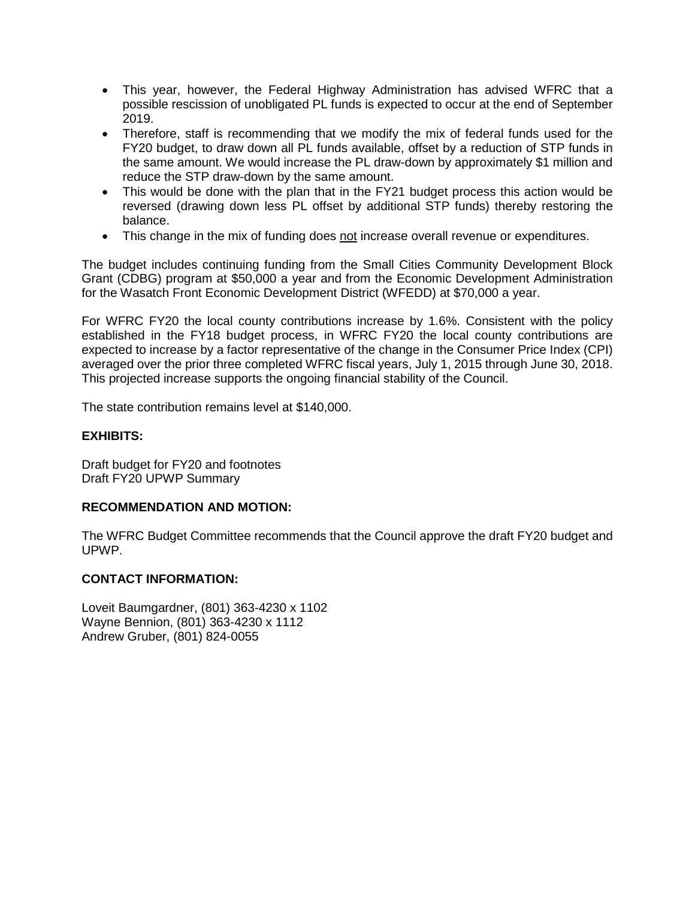- This year, however, the Federal Highway Administration has advised WFRC that a possible rescission of unobligated PL funds is expected to occur at the end of September 2019.
- Therefore, staff is recommending that we modify the mix of federal funds used for the FY20 budget, to draw down all PL funds available, offset by a reduction of STP funds in the same amount. We would increase the PL draw-down by approximately \$1 million and reduce the STP draw-down by the same amount.
- This would be done with the plan that in the FY21 budget process this action would be reversed (drawing down less PL offset by additional STP funds) thereby restoring the balance.
- This change in the mix of funding does not increase overall revenue or expenditures.

The budget includes continuing funding from the Small Cities Community Development Block Grant (CDBG) program at \$50,000 a year and from the Economic Development Administration for the Wasatch Front Economic Development District (WFEDD) at \$70,000 a year.

For WFRC FY20 the local county contributions increase by 1.6%. Consistent with the policy established in the FY18 budget process, in WFRC FY20 the local county contributions are expected to increase by a factor representative of the change in the Consumer Price Index (CPI) averaged over the prior three completed WFRC fiscal years, July 1, 2015 through June 30, 2018. This projected increase supports the ongoing financial stability of the Council.

The state contribution remains level at \$140,000.

#### **EXHIBITS:**

Draft budget for FY20 and footnotes Draft FY20 UPWP Summary

#### **RECOMMENDATION AND MOTION:**

The WFRC Budget Committee recommends that the Council approve the draft FY20 budget and UPWP.

#### **CONTACT INFORMATION:**

Loveit Baumgardner, (801) 363-4230 x 1102 Wayne Bennion, (801) 363-4230 x 1112 Andrew Gruber, (801) 824-0055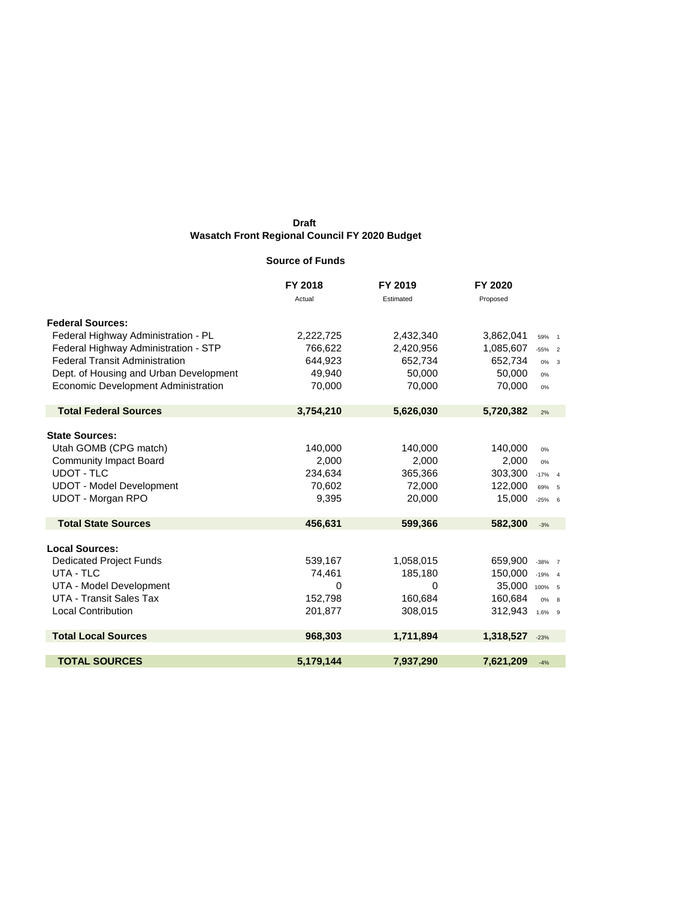#### **Source of Funds**

|                                        | FY 2018   | FY 2019   | FY 2020        |           |
|----------------------------------------|-----------|-----------|----------------|-----------|
|                                        | Actual    | Estimated | Proposed       |           |
| <b>Federal Sources:</b>                |           |           |                |           |
| Federal Highway Administration - PL    | 2,222,725 | 2,432,340 | 3,862,041      | 59% 1     |
| Federal Highway Administration - STP   | 766,622   | 2,420,956 | 1,085,607      | $-55\%$ 2 |
| <b>Federal Transit Administration</b>  | 644,923   | 652,734   | 652,734        | $0\% - 3$ |
| Dept. of Housing and Urban Development | 49,940    | 50,000    | 50,000         | 0%        |
| Economic Development Administration    | 70,000    | 70,000    | 70,000         | 0%        |
| <b>Total Federal Sources</b>           | 3,754,210 | 5,626,030 | 5,720,382      | 2%        |
| <b>State Sources:</b>                  |           |           |                |           |
| Utah GOMB (CPG match)                  | 140,000   | 140,000   | 140,000        | 0%        |
| <b>Community Impact Board</b>          | 2,000     | 2,000     | 2,000          | 0%        |
| <b>UDOT - TLC</b>                      | 234,634   | 365,366   | 303,300        | $-17%$ 4  |
| <b>UDOT - Model Development</b>        | 70,602    | 72,000    | 122,000        | 69% 5     |
| <b>UDOT - Morgan RPO</b>               | 9,395     | 20,000    | 15,000         | $-25%$ 6  |
| <b>Total State Sources</b>             | 456,631   | 599,366   | 582,300        | $-3%$     |
| <b>Local Sources:</b>                  |           |           |                |           |
| <b>Dedicated Project Funds</b>         | 539,167   | 1,058,015 | 659,900        | $-38\%$ 7 |
| UTA - TLC                              | 74,461    | 185,180   | 150,000        | $-19%$ 4  |
| UTA - Model Development                | 0         | 0         | 35,000 100% 5  |           |
| UTA - Transit Sales Tax                | 152,798   | 160,684   | 160,684        | $0\%$ 8   |
| <b>Local Contribution</b>              | 201,877   | 308,015   | 312,943 1.6% 9 |           |
| <b>Total Local Sources</b>             | 968,303   | 1,711,894 | 1,318,527      | $-23%$    |
| <b>TOTAL SOURCES</b>                   | 5,179,144 | 7,937,290 | 7,621,209      | $-4%$     |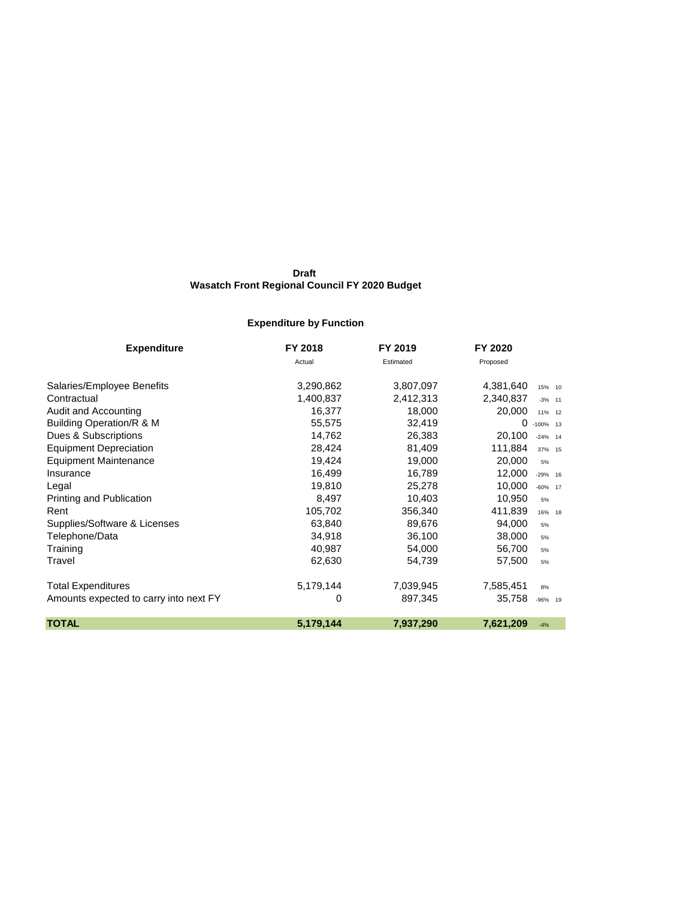## **Expenditure by Function**

| <b>Expenditure</b>                     | FY 2018   | FY 2019   | FY 2020   |             |
|----------------------------------------|-----------|-----------|-----------|-------------|
|                                        | Actual    | Estimated | Proposed  |             |
| Salaries/Employee Benefits             | 3,290,862 | 3,807,097 | 4,381,640 | 15% 10      |
| Contractual                            | 1,400,837 | 2,412,313 | 2,340,837 | $-3%$ 11    |
| Audit and Accounting                   | 16,377    | 18,000    | 20,000    | 11% 12      |
| Building Operation/R & M               | 55,575    | 32,419    | 0         | $-100\%$ 13 |
| Dues & Subscriptions                   | 14,762    | 26,383    | 20,100    | $-24\%$ 14  |
| <b>Equipment Depreciation</b>          | 28,424    | 81,409    | 111,884   | 37% 15      |
| <b>Equipment Maintenance</b>           | 19,424    | 19,000    | 20,000    | 5%          |
| Insurance                              | 16,499    | 16,789    | 12,000    | $-29\%$ 16  |
| Legal                                  | 19,810    | 25,278    | 10,000    | $-60\%$ 17  |
| Printing and Publication               | 8,497     | 10,403    | 10,950    | 5%          |
| Rent                                   | 105,702   | 356,340   | 411,839   | 16% 18      |
| Supplies/Software & Licenses           | 63,840    | 89,676    | 94,000    | 5%          |
| Telephone/Data                         | 34,918    | 36,100    | 38,000    | 5%          |
| Training                               | 40,987    | 54,000    | 56,700    | 5%          |
| Travel                                 | 62,630    | 54,739    | 57,500    | 5%          |
| <b>Total Expenditures</b>              | 5,179,144 | 7,039,945 | 7,585,451 | 8%          |
| Amounts expected to carry into next FY | 0         | 897,345   | 35,758    | $-96\%$ 19  |
| <b>TOTAL</b>                           | 5,179,144 | 7,937,290 | 7,621,209 | $-4%$       |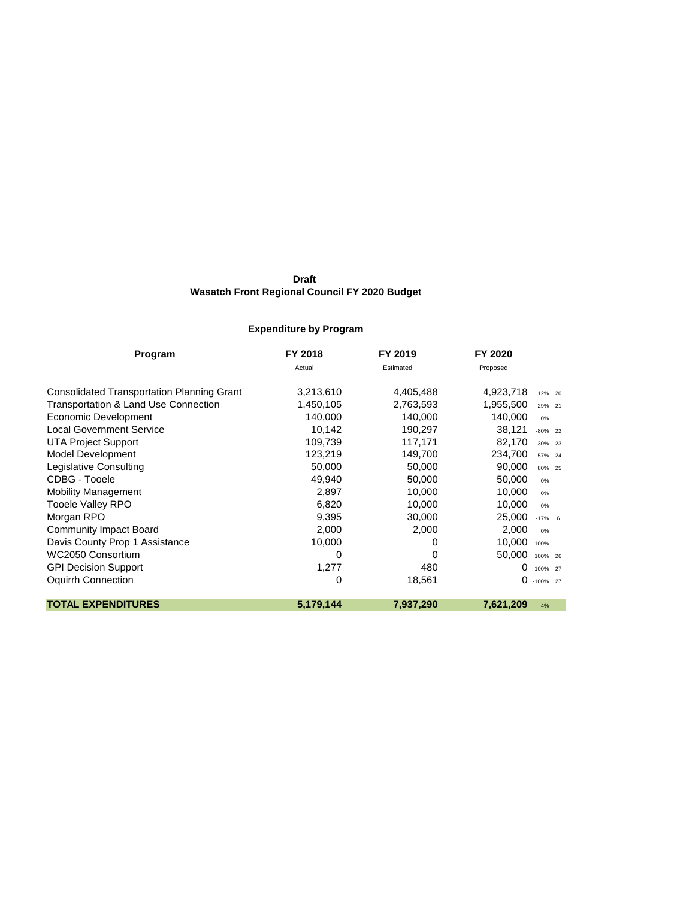## **Expenditure by Program**

| Program                                           | FY 2018   | FY 2019   | FY 2020   |             |
|---------------------------------------------------|-----------|-----------|-----------|-------------|
|                                                   | Actual    | Estimated | Proposed  |             |
| <b>Consolidated Transportation Planning Grant</b> | 3,213,610 | 4,405,488 | 4,923,718 | 12% 20      |
| Transportation & Land Use Connection              | 1,450,105 | 2,763,593 | 1,955,500 | $-29\%$ 21  |
| Economic Development                              | 140,000   | 140,000   | 140,000   | 0%          |
| <b>Local Government Service</b>                   | 10,142    | 190,297   | 38,121    | $-80\%$ 22  |
| <b>UTA Project Support</b>                        | 109,739   | 117,171   | 82,170    | $-30\%$ 23  |
| Model Development                                 | 123,219   | 149,700   | 234,700   | 57% 24      |
| Legislative Consulting                            | 50,000    | 50,000    | 90,000    | 80% 25      |
| CDBG - Tooele                                     | 49,940    | 50,000    | 50,000    | 0%          |
| <b>Mobility Management</b>                        | 2,897     | 10,000    | 10,000    | 0%          |
| Tooele Valley RPO                                 | 6,820     | 10,000    | 10,000    | 0%          |
| Morgan RPO                                        | 9,395     | 30,000    | 25,000    | $-17%$ 6    |
| <b>Community Impact Board</b>                     | 2,000     | 2,000     | 2,000     | 0%          |
| Davis County Prop 1 Assistance                    | 10,000    | 0         | 10,000    | 100%        |
| WC2050 Consortium                                 | 0         | 0         | 50,000    | 100% 26     |
| <b>GPI Decision Support</b>                       | 1,277     | 480       | 0         | $-100\%$ 27 |
| Oquirrh Connection                                | 0         | 18,561    | $\Omega$  | -100% 27    |
| <b>TOTAL EXPENDITURES</b>                         | 5,179,144 | 7,937,290 | 7,621,209 | $-4%$       |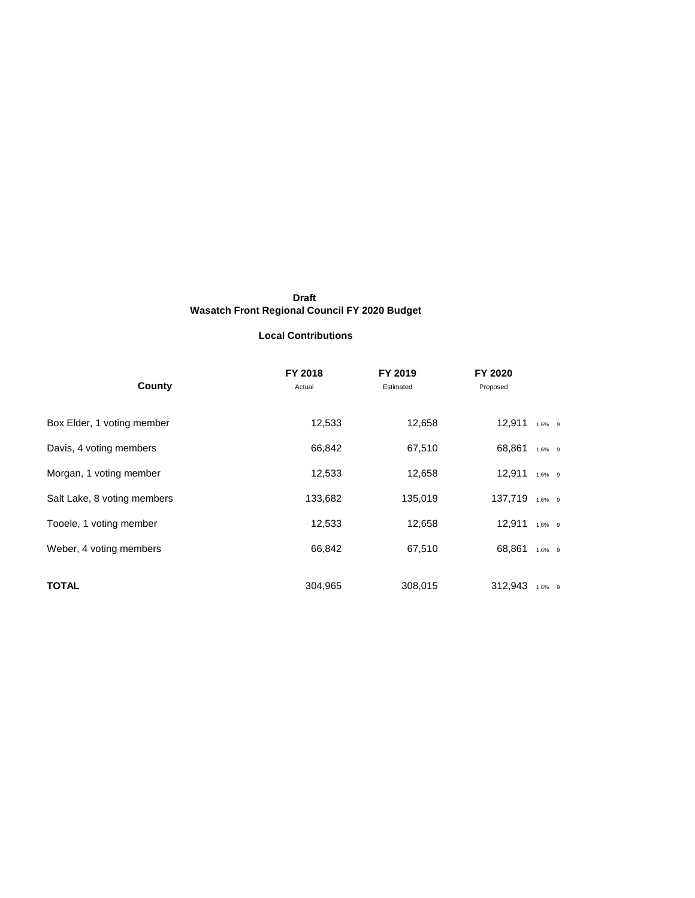#### **Local Contributions**

| County                      | FY 2018<br>Actual | FY 2019<br>Estimated | FY 2020<br>Proposed |           |
|-----------------------------|-------------------|----------------------|---------------------|-----------|
| Box Elder, 1 voting member  | 12,533            | 12,658               | $12,911$ 1.6% 9     |           |
| Davis, 4 voting members     | 66,842            | 67,510               | 68,861 1.6% 9       |           |
| Morgan, 1 voting member     | 12,533            | 12,658               | $12,911$ 1.6% 9     |           |
| Salt Lake, 8 voting members | 133,682           | 135,019              | 137,719 1.6% 9      |           |
| Tooele, 1 voting member     | 12,533            | 12,658               | $12,911$ 1.6% 9     |           |
| Weber, 4 voting members     | 66,842            | 67,510               | 68,861              | 1.6% 9    |
| <b>TOTAL</b>                | 304,965           | 308,015              | 312,943             | $1.6\%$ 9 |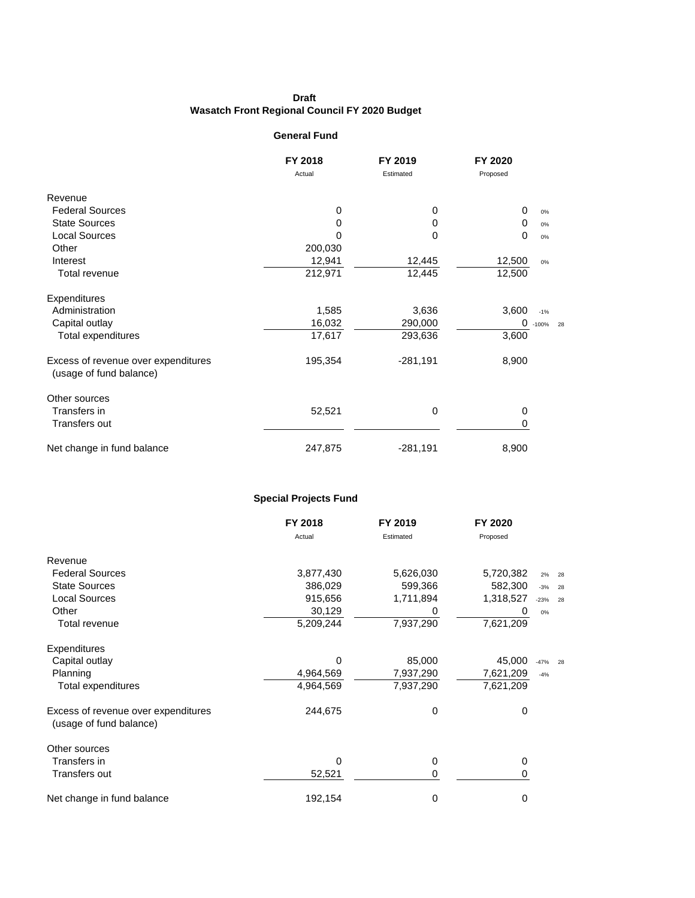#### **General Fund**

|                                                                | FY 2018 | FY 2019    | FY 2020  |             |  |
|----------------------------------------------------------------|---------|------------|----------|-------------|--|
|                                                                | Actual  | Estimated  | Proposed |             |  |
| Revenue                                                        |         |            |          |             |  |
| <b>Federal Sources</b>                                         | 0       | 0          | 0        | 0%          |  |
| <b>State Sources</b>                                           | 0       | 0          | $\Omega$ | $0\%$       |  |
| <b>Local Sources</b>                                           | 0       | 0          | 0        | 0%          |  |
| Other                                                          | 200,030 |            |          |             |  |
| Interest                                                       | 12,941  | 12,445     | 12,500   | $0\%$       |  |
| Total revenue                                                  | 212,971 | 12,445     | 12,500   |             |  |
| Expenditures                                                   |         |            |          |             |  |
| Administration                                                 | 1,585   | 3,636      | 3,600    | $-1%$       |  |
| Capital outlay                                                 | 16,032  | 290,000    | 0        | $-100\%$ 28 |  |
| <b>Total expenditures</b>                                      | 17,617  | 293,636    | 3,600    |             |  |
| Excess of revenue over expenditures<br>(usage of fund balance) | 195,354 | $-281,191$ | 8,900    |             |  |
| Other sources                                                  |         |            |          |             |  |
| Transfers in                                                   | 52,521  | 0          | 0        |             |  |
| Transfers out                                                  |         |            | 0        |             |  |
| Net change in fund balance                                     | 247,875 | $-281,191$ | 8,900    |             |  |

#### **Special Projects Fund**

|                                                                | FY 2018   | FY 2019   | FY 2020   |              |  |
|----------------------------------------------------------------|-----------|-----------|-----------|--------------|--|
|                                                                | Actual    | Estimated | Proposed  |              |  |
| Revenue                                                        |           |           |           |              |  |
| <b>Federal Sources</b>                                         | 3,877,430 | 5,626,030 | 5,720,382 | 2%<br>28     |  |
| <b>State Sources</b>                                           | 386,029   | 599,366   | 582,300   | $-3%$<br>28  |  |
| <b>Local Sources</b>                                           | 915,656   | 1,711,894 | 1,318,527 | $-23%$<br>28 |  |
| Other                                                          | 30,129    | 0         | 0         | $0\%$        |  |
| Total revenue                                                  | 5,209,244 | 7,937,290 | 7,621,209 |              |  |
| Expenditures                                                   |           |           |           |              |  |
| Capital outlay                                                 | 0         | 85,000    | 45,000    | $-47%$<br>28 |  |
| Planning                                                       | 4,964,569 | 7,937,290 | 7,621,209 | $-4%$        |  |
| Total expenditures                                             | 4,964,569 | 7,937,290 | 7,621,209 |              |  |
| Excess of revenue over expenditures<br>(usage of fund balance) | 244,675   | 0         | 0         |              |  |
| Other sources                                                  |           |           |           |              |  |
| Transfers in                                                   | 0         | 0         | 0         |              |  |
| Transfers out                                                  | 52,521    | 0         | 0         |              |  |
| Net change in fund balance                                     | 192,154   | 0         | 0         |              |  |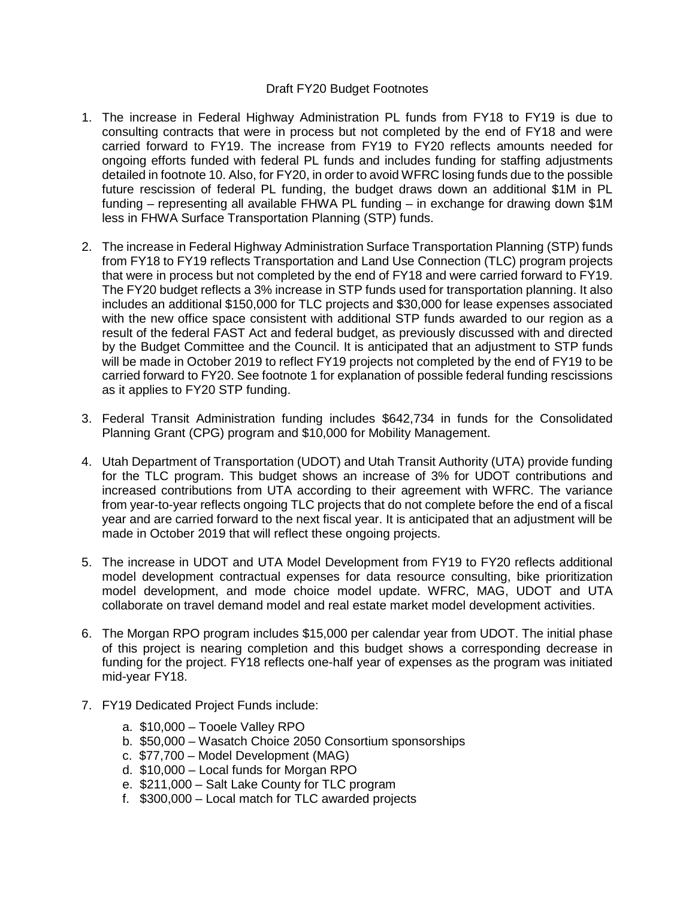#### Draft FY20 Budget Footnotes

- 1. The increase in Federal Highway Administration PL funds from FY18 to FY19 is due to consulting contracts that were in process but not completed by the end of FY18 and were carried forward to FY19. The increase from FY19 to FY20 reflects amounts needed for ongoing efforts funded with federal PL funds and includes funding for staffing adjustments detailed in footnote 10. Also, for FY20, in order to avoid WFRC losing funds due to the possible future rescission of federal PL funding, the budget draws down an additional \$1M in PL funding – representing all available FHWA PL funding – in exchange for drawing down \$1M less in FHWA Surface Transportation Planning (STP) funds.
- 2. The increase in Federal Highway Administration Surface Transportation Planning (STP) funds from FY18 to FY19 reflects Transportation and Land Use Connection (TLC) program projects that were in process but not completed by the end of FY18 and were carried forward to FY19. The FY20 budget reflects a 3% increase in STP funds used for transportation planning. It also includes an additional \$150,000 for TLC projects and \$30,000 for lease expenses associated with the new office space consistent with additional STP funds awarded to our region as a result of the federal FAST Act and federal budget, as previously discussed with and directed by the Budget Committee and the Council. It is anticipated that an adjustment to STP funds will be made in October 2019 to reflect FY19 projects not completed by the end of FY19 to be carried forward to FY20. See footnote 1 for explanation of possible federal funding rescissions as it applies to FY20 STP funding.
- 3. Federal Transit Administration funding includes \$642,734 in funds for the Consolidated Planning Grant (CPG) program and \$10,000 for Mobility Management.
- 4. Utah Department of Transportation (UDOT) and Utah Transit Authority (UTA) provide funding for the TLC program. This budget shows an increase of 3% for UDOT contributions and increased contributions from UTA according to their agreement with WFRC. The variance from year-to-year reflects ongoing TLC projects that do not complete before the end of a fiscal year and are carried forward to the next fiscal year. It is anticipated that an adjustment will be made in October 2019 that will reflect these ongoing projects.
- 5. The increase in UDOT and UTA Model Development from FY19 to FY20 reflects additional model development contractual expenses for data resource consulting, bike prioritization model development, and mode choice model update. WFRC, MAG, UDOT and UTA collaborate on travel demand model and real estate market model development activities.
- 6. The Morgan RPO program includes \$15,000 per calendar year from UDOT. The initial phase of this project is nearing completion and this budget shows a corresponding decrease in funding for the project. FY18 reflects one-half year of expenses as the program was initiated mid-year FY18.
- 7. FY19 Dedicated Project Funds include:
	- a. \$10,000 Tooele Valley RPO
	- b. \$50,000 Wasatch Choice 2050 Consortium sponsorships
	- c. \$77,700 Model Development (MAG)
	- d. \$10,000 Local funds for Morgan RPO
	- e. \$211,000 Salt Lake County for TLC program
	- f. \$300,000 Local match for TLC awarded projects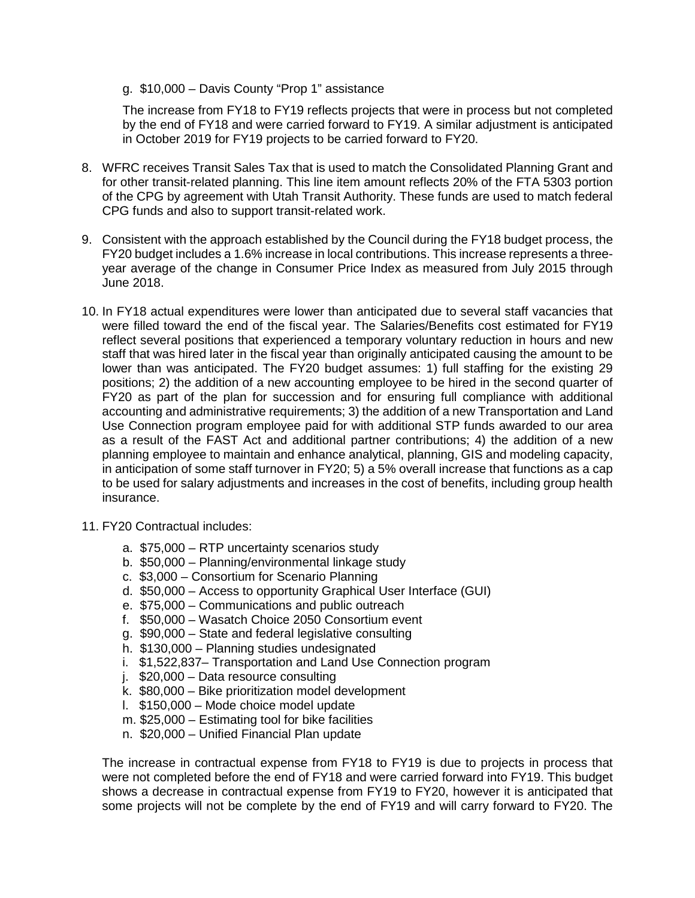#### g. \$10,000 – Davis County "Prop 1" assistance

The increase from FY18 to FY19 reflects projects that were in process but not completed by the end of FY18 and were carried forward to FY19. A similar adjustment is anticipated in October 2019 for FY19 projects to be carried forward to FY20.

- 8. WFRC receives Transit Sales Tax that is used to match the Consolidated Planning Grant and for other transit-related planning. This line item amount reflects 20% of the FTA 5303 portion of the CPG by agreement with Utah Transit Authority. These funds are used to match federal CPG funds and also to support transit-related work.
- 9. Consistent with the approach established by the Council during the FY18 budget process, the FY20 budget includes a 1.6% increase in local contributions. This increase represents a threeyear average of the change in Consumer Price Index as measured from July 2015 through June 2018.
- 10. In FY18 actual expenditures were lower than anticipated due to several staff vacancies that were filled toward the end of the fiscal year. The Salaries/Benefits cost estimated for FY19 reflect several positions that experienced a temporary voluntary reduction in hours and new staff that was hired later in the fiscal year than originally anticipated causing the amount to be lower than was anticipated. The FY20 budget assumes: 1) full staffing for the existing 29 positions; 2) the addition of a new accounting employee to be hired in the second quarter of FY20 as part of the plan for succession and for ensuring full compliance with additional accounting and administrative requirements; 3) the addition of a new Transportation and Land Use Connection program employee paid for with additional STP funds awarded to our area as a result of the FAST Act and additional partner contributions; 4) the addition of a new planning employee to maintain and enhance analytical, planning, GIS and modeling capacity, in anticipation of some staff turnover in FY20; 5) a 5% overall increase that functions as a cap to be used for salary adjustments and increases in the cost of benefits, including group health insurance.
- 11. FY20 Contractual includes:
	- a. \$75,000 RTP uncertainty scenarios study
	- b. \$50,000 Planning/environmental linkage study
	- c. \$3,000 Consortium for Scenario Planning
	- d. \$50,000 Access to opportunity Graphical User Interface (GUI)
	- e. \$75,000 Communications and public outreach
	- f. \$50,000 Wasatch Choice 2050 Consortium event
	- g. \$90,000 State and federal legislative consulting
	- h. \$130,000 Planning studies undesignated
	- i. \$1,522,837– Transportation and Land Use Connection program
	- j. \$20,000 Data resource consulting
	- k. \$80,000 Bike prioritization model development
	- l. \$150,000 Mode choice model update
	- m. \$25,000 Estimating tool for bike facilities
	- n. \$20,000 Unified Financial Plan update

The increase in contractual expense from FY18 to FY19 is due to projects in process that were not completed before the end of FY18 and were carried forward into FY19. This budget shows a decrease in contractual expense from FY19 to FY20, however it is anticipated that some projects will not be complete by the end of FY19 and will carry forward to FY20. The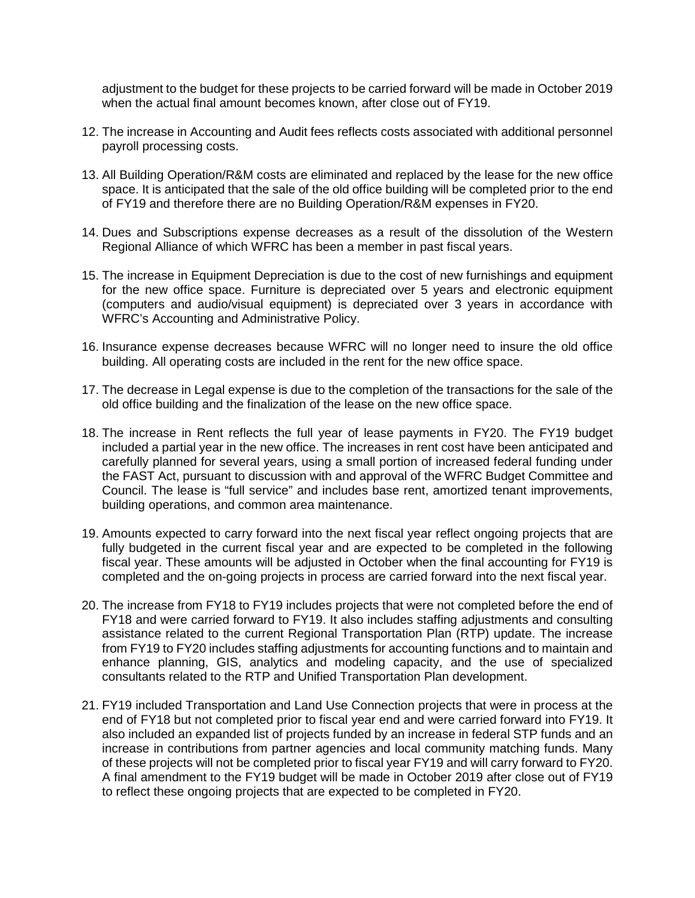adjustment to the budget for these projects to be carried forward will be made in October 2019 when the actual final amount becomes known, after close out of FY19.

- 12. The increase in Accounting and Audit fees reflects costs associated with additional personnel payroll processing costs.
- 13. All Building Operation/R&M costs are eliminated and replaced by the lease for the new office space. It is anticipated that the sale of the old office building will be completed prior to the end of FY19 and therefore there are no Building Operation/R&M expenses in FY20.
- 14. Dues and Subscriptions expense decreases as a result of the dissolution of the Western Regional Alliance of which WFRC has been a member in past fiscal years.
- 15. The increase in Equipment Depreciation is due to the cost of new furnishings and equipment for the new office space. Furniture is depreciated over 5 years and electronic equipment (computers and audio/visual equipment) is depreciated over 3 years in accordance with WFRC's Accounting and Administrative Policy.
- 16. Insurance expense decreases because WFRC will no longer need to insure the old office building. All operating costs are included in the rent for the new office space.
- 17. The decrease in Legal expense is due to the completion of the transactions for the sale of the old office building and the finalization of the lease on the new office space.
- 18. The increase in Rent reflects the full year of lease payments in FY20. The FY19 budget included a partial year in the new office. The increases in rent cost have been anticipated and carefully planned for several years, using a small portion of increased federal funding under the FAST Act, pursuant to discussion with and approval of the WFRC Budget Committee and Council. The lease is "full service" and includes base rent, amortized tenant improvements, building operations, and common area maintenance.
- 19. Amounts expected to carry forward into the next fiscal year reflect ongoing projects that are fully budgeted in the current fiscal year and are expected to be completed in the following fiscal year. These amounts will be adjusted in October when the final accounting for FY19 is completed and the on-going projects in process are carried forward into the next fiscal year.
- 20. The increase from FY18 to FY19 includes projects that were not completed before the end of FY18 and were carried forward to FY19. It also includes staffing adjustments and consulting assistance related to the current Regional Transportation Plan (RTP) update. The increase from FY19 to FY20 includes staffing adjustments for accounting functions and to maintain and enhance planning, GIS, analytics and modeling capacity, and the use of specialized consultants related to the RTP and Unified Transportation Plan development.
- 21. FY19 included Transportation and Land Use Connection projects that were in process at the end of FY18 but not completed prior to fiscal year end and were carried forward into FY19. It also included an expanded list of projects funded by an increase in federal STP funds and an increase in contributions from partner agencies and local community matching funds. Many of these projects will not be completed prior to fiscal year FY19 and will carry forward to FY20. A final amendment to the FY19 budget will be made in October 2019 after close out of FY19 to reflect these ongoing projects that are expected to be completed in FY20.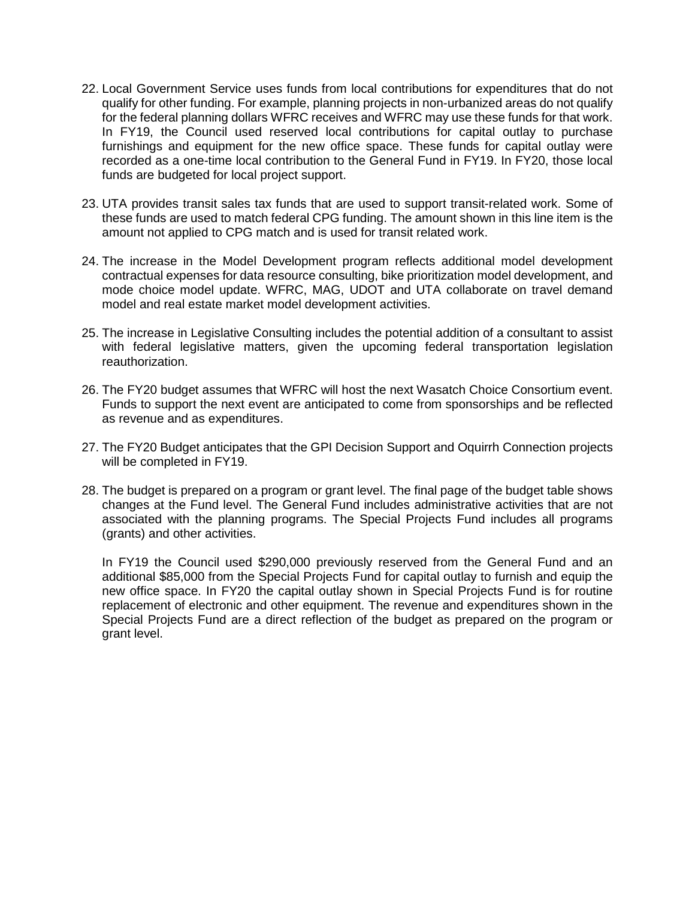- 22. Local Government Service uses funds from local contributions for expenditures that do not qualify for other funding. For example, planning projects in non-urbanized areas do not qualify for the federal planning dollars WFRC receives and WFRC may use these funds for that work. In FY19, the Council used reserved local contributions for capital outlay to purchase furnishings and equipment for the new office space. These funds for capital outlay were recorded as a one-time local contribution to the General Fund in FY19. In FY20, those local funds are budgeted for local project support.
- 23. UTA provides transit sales tax funds that are used to support transit-related work. Some of these funds are used to match federal CPG funding. The amount shown in this line item is the amount not applied to CPG match and is used for transit related work.
- 24. The increase in the Model Development program reflects additional model development contractual expenses for data resource consulting, bike prioritization model development, and mode choice model update. WFRC, MAG, UDOT and UTA collaborate on travel demand model and real estate market model development activities.
- 25. The increase in Legislative Consulting includes the potential addition of a consultant to assist with federal legislative matters, given the upcoming federal transportation legislation reauthorization.
- 26. The FY20 budget assumes that WFRC will host the next Wasatch Choice Consortium event. Funds to support the next event are anticipated to come from sponsorships and be reflected as revenue and as expenditures.
- 27. The FY20 Budget anticipates that the GPI Decision Support and Oquirrh Connection projects will be completed in FY19.
- 28. The budget is prepared on a program or grant level. The final page of the budget table shows changes at the Fund level. The General Fund includes administrative activities that are not associated with the planning programs. The Special Projects Fund includes all programs (grants) and other activities.

In FY19 the Council used \$290,000 previously reserved from the General Fund and an additional \$85,000 from the Special Projects Fund for capital outlay to furnish and equip the new office space. In FY20 the capital outlay shown in Special Projects Fund is for routine replacement of electronic and other equipment. The revenue and expenditures shown in the Special Projects Fund are a direct reflection of the budget as prepared on the program or grant level.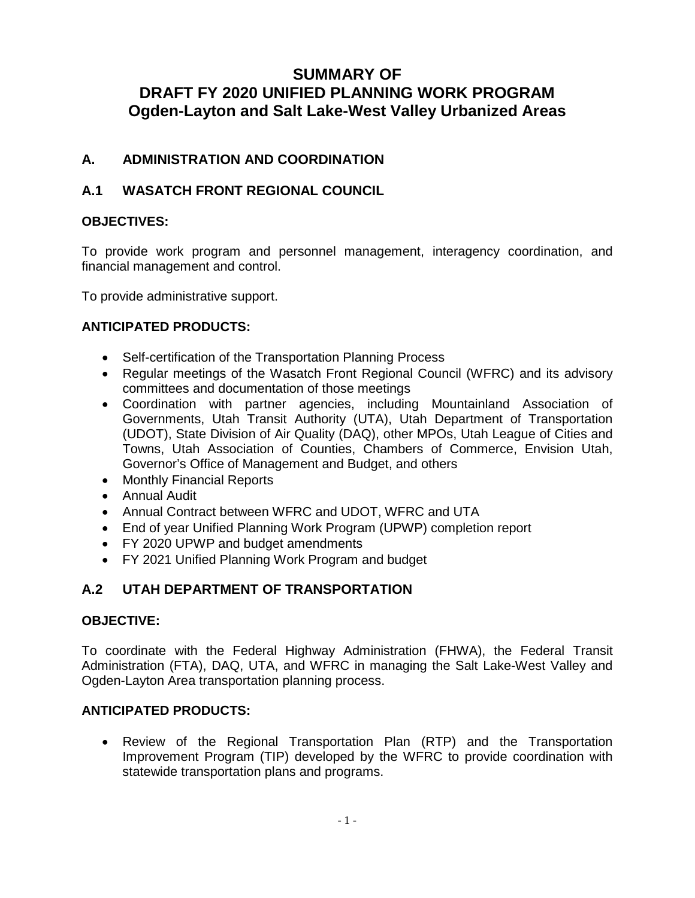## **SUMMARY OF DRAFT FY 2020 UNIFIED PLANNING WORK PROGRAM Ogden-Layton and Salt Lake-West Valley Urbanized Areas**

## **A. ADMINISTRATION AND COORDINATION**

## **A.1 WASATCH FRONT REGIONAL COUNCIL**

## **OBJECTIVES:**

To provide work program and personnel management, interagency coordination, and financial management and control.

To provide administrative support.

## **ANTICIPATED PRODUCTS:**

- Self-certification of the Transportation Planning Process
- Regular meetings of the Wasatch Front Regional Council (WFRC) and its advisory committees and documentation of those meetings
- Coordination with partner agencies, including Mountainland Association of Governments, Utah Transit Authority (UTA), Utah Department of Transportation (UDOT), State Division of Air Quality (DAQ), other MPOs, Utah League of Cities and Towns, Utah Association of Counties, Chambers of Commerce, Envision Utah, Governor's Office of Management and Budget, and others
- Monthly Financial Reports
- Annual Audit
- Annual Contract between WFRC and UDOT, WFRC and UTA
- End of year Unified Planning Work Program (UPWP) completion report
- FY 2020 UPWP and budget amendments
- FY 2021 Unified Planning Work Program and budget

## **A.2 UTAH DEPARTMENT OF TRANSPORTATION**

#### **OBJECTIVE:**

To coordinate with the Federal Highway Administration (FHWA), the Federal Transit Administration (FTA), DAQ, UTA, and WFRC in managing the Salt Lake-West Valley and Ogden-Layton Area transportation planning process.

#### **ANTICIPATED PRODUCTS:**

• Review of the Regional Transportation Plan (RTP) and the Transportation Improvement Program (TIP) developed by the WFRC to provide coordination with statewide transportation plans and programs.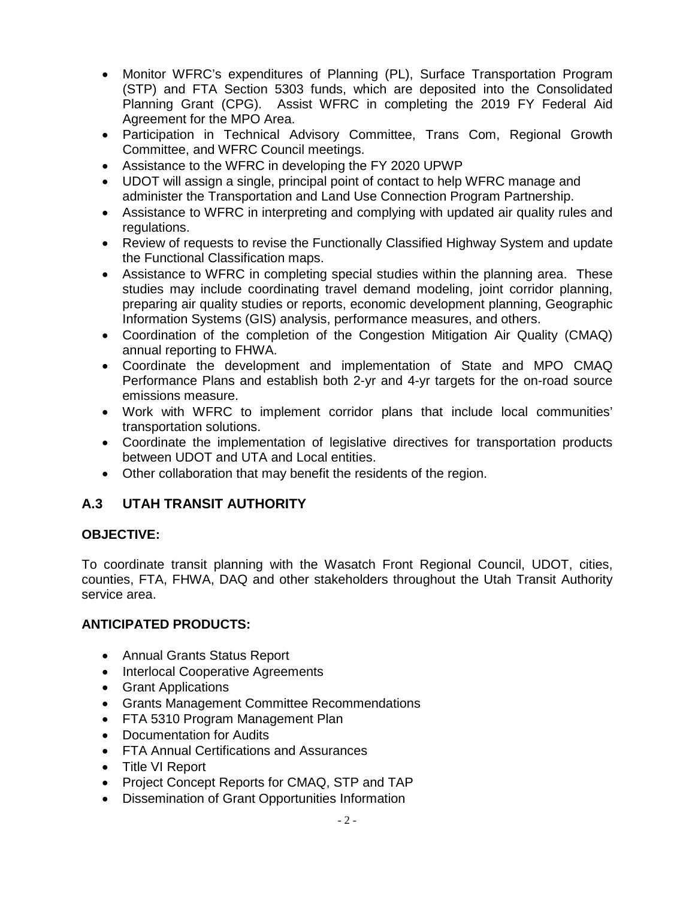- Monitor WFRC's expenditures of Planning (PL), Surface Transportation Program (STP) and FTA Section 5303 funds, which are deposited into the Consolidated Planning Grant (CPG). Assist WFRC in completing the 2019 FY Federal Aid Agreement for the MPO Area.
- Participation in Technical Advisory Committee, Trans Com, Regional Growth Committee, and WFRC Council meetings.
- Assistance to the WFRC in developing the FY 2020 UPWP
- UDOT will assign a single, principal point of contact to help WFRC manage and administer the Transportation and Land Use Connection Program Partnership.
- Assistance to WFRC in interpreting and complying with updated air quality rules and regulations.
- Review of requests to revise the Functionally Classified Highway System and update the Functional Classification maps.
- Assistance to WFRC in completing special studies within the planning area. These studies may include coordinating travel demand modeling, joint corridor planning, preparing air quality studies or reports, economic development planning, Geographic Information Systems (GIS) analysis, performance measures, and others.
- Coordination of the completion of the Congestion Mitigation Air Quality (CMAQ) annual reporting to FHWA.
- Coordinate the development and implementation of State and MPO CMAQ Performance Plans and establish both 2-yr and 4-yr targets for the on-road source emissions measure.
- Work with WFRC to implement corridor plans that include local communities' transportation solutions.
- Coordinate the implementation of legislative directives for transportation products between UDOT and UTA and Local entities.
- Other collaboration that may benefit the residents of the region.

## **A.3 UTAH TRANSIT AUTHORITY**

## **OBJECTIVE:**

To coordinate transit planning with the Wasatch Front Regional Council, UDOT, cities, counties, FTA, FHWA, DAQ and other stakeholders throughout the Utah Transit Authority service area.

## **ANTICIPATED PRODUCTS:**

- Annual Grants Status Report
- Interlocal Cooperative Agreements
- Grant Applications
- Grants Management Committee Recommendations
- FTA 5310 Program Management Plan
- Documentation for Audits
- FTA Annual Certifications and Assurances
- Title VI Report
- Project Concept Reports for CMAQ, STP and TAP
- Dissemination of Grant Opportunities Information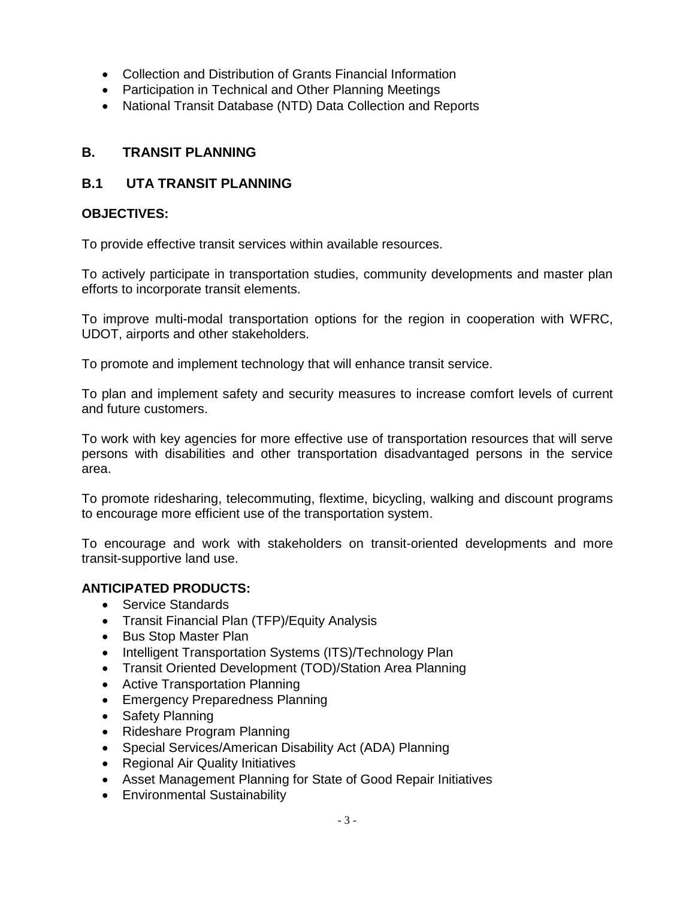- Collection and Distribution of Grants Financial Information
- Participation in Technical and Other Planning Meetings
- National Transit Database (NTD) Data Collection and Reports

## **B. TRANSIT PLANNING**

## **B.1 UTA TRANSIT PLANNING**

## **OBJECTIVES:**

To provide effective transit services within available resources.

To actively participate in transportation studies, community developments and master plan efforts to incorporate transit elements.

To improve multi-modal transportation options for the region in cooperation with WFRC, UDOT, airports and other stakeholders.

To promote and implement technology that will enhance transit service.

To plan and implement safety and security measures to increase comfort levels of current and future customers.

To work with key agencies for more effective use of transportation resources that will serve persons with disabilities and other transportation disadvantaged persons in the service area.

To promote ridesharing, telecommuting, flextime, bicycling, walking and discount programs to encourage more efficient use of the transportation system.

To encourage and work with stakeholders on transit-oriented developments and more transit-supportive land use.

## **ANTICIPATED PRODUCTS:**

- Service Standards
- Transit Financial Plan (TFP)/Equity Analysis
- Bus Stop Master Plan
- Intelligent Transportation Systems (ITS)/Technology Plan
- Transit Oriented Development (TOD)/Station Area Planning
- Active Transportation Planning
- Emergency Preparedness Planning
- Safety Planning
- Rideshare Program Planning
- Special Services/American Disability Act (ADA) Planning
- Regional Air Quality Initiatives
- Asset Management Planning for State of Good Repair Initiatives
- Environmental Sustainability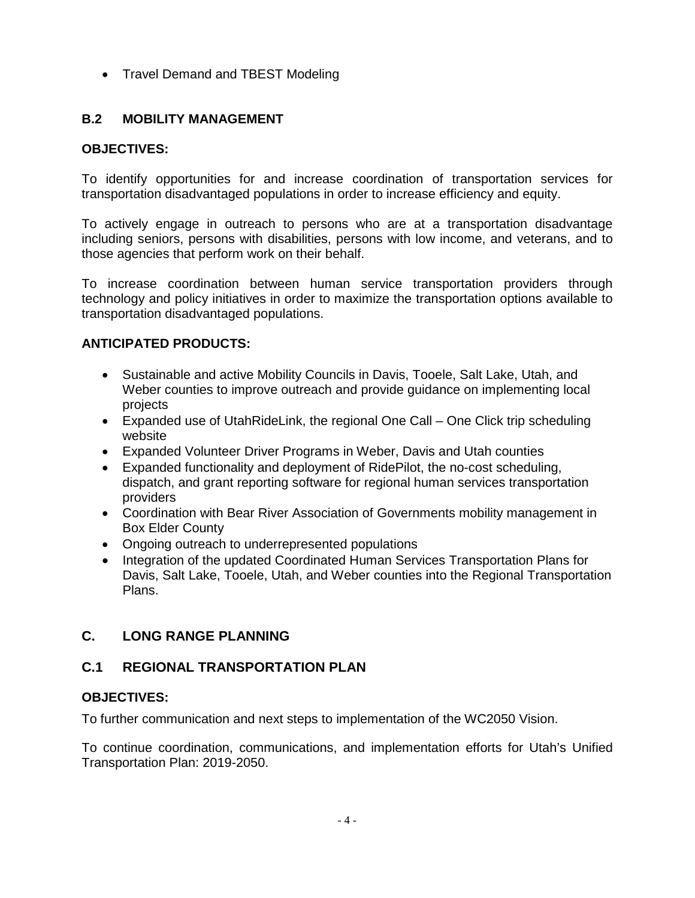• Travel Demand and TBEST Modeling

## **B.2 MOBILITY MANAGEMENT**

## **OBJECTIVES:**

To identify opportunities for and increase coordination of transportation services for transportation disadvantaged populations in order to increase efficiency and equity.

To actively engage in outreach to persons who are at a transportation disadvantage including seniors, persons with disabilities, persons with low income, and veterans, and to those agencies that perform work on their behalf.

To increase coordination between human service transportation providers through technology and policy initiatives in order to maximize the transportation options available to transportation disadvantaged populations.

## **ANTICIPATED PRODUCTS:**

- Sustainable and active Mobility Councils in Davis, Tooele, Salt Lake, Utah, and Weber counties to improve outreach and provide guidance on implementing local projects
- Expanded use of UtahRideLink, the regional One Call One Click trip scheduling website
- Expanded Volunteer Driver Programs in Weber, Davis and Utah counties
- Expanded functionality and deployment of RidePilot, the no-cost scheduling, dispatch, and grant reporting software for regional human services transportation providers
- Coordination with Bear River Association of Governments mobility management in Box Elder County
- Ongoing outreach to underrepresented populations
- Integration of the updated Coordinated Human Services Transportation Plans for Davis, Salt Lake, Tooele, Utah, and Weber counties into the Regional Transportation Plans.

## **C. LONG RANGE PLANNING**

## **C.1 REGIONAL TRANSPORTATION PLAN**

#### **OBJECTIVES:**

To further communication and next steps to implementation of the WC2050 Vision.

To continue coordination, communications, and implementation efforts for Utah's Unified Transportation Plan: 2019-2050.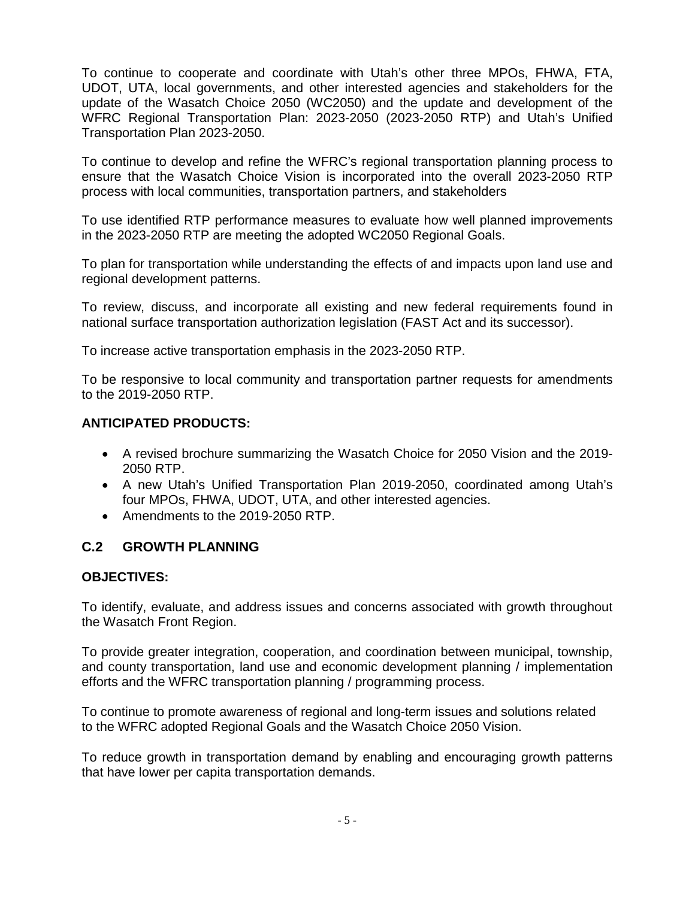To continue to cooperate and coordinate with Utah's other three MPOs, FHWA, FTA, UDOT, UTA, local governments, and other interested agencies and stakeholders for the update of the Wasatch Choice 2050 (WC2050) and the update and development of the WFRC Regional Transportation Plan: 2023-2050 (2023-2050 RTP) and Utah's Unified Transportation Plan 2023-2050.

To continue to develop and refine the WFRC's regional transportation planning process to ensure that the Wasatch Choice Vision is incorporated into the overall 2023-2050 RTP process with local communities, transportation partners, and stakeholders

To use identified RTP performance measures to evaluate how well planned improvements in the 2023-2050 RTP are meeting the adopted WC2050 Regional Goals.

To plan for transportation while understanding the effects of and impacts upon land use and regional development patterns.

To review, discuss, and incorporate all existing and new federal requirements found in national surface transportation authorization legislation (FAST Act and its successor).

To increase active transportation emphasis in the 2023-2050 RTP.

To be responsive to local community and transportation partner requests for amendments to the 2019-2050 RTP.

## **ANTICIPATED PRODUCTS:**

- A revised brochure summarizing the Wasatch Choice for 2050 Vision and the 2019- 2050 RTP.
- A new Utah's Unified Transportation Plan 2019-2050, coordinated among Utah's four MPOs, FHWA, UDOT, UTA, and other interested agencies.
- Amendments to the 2019-2050 RTP.

## **C.2 GROWTH PLANNING**

#### **OBJECTIVES:**

To identify, evaluate, and address issues and concerns associated with growth throughout the Wasatch Front Region.

To provide greater integration, cooperation, and coordination between municipal, township, and county transportation, land use and economic development planning / implementation efforts and the WFRC transportation planning / programming process.

To continue to promote awareness of regional and long-term issues and solutions related to the WFRC adopted Regional Goals and the Wasatch Choice 2050 Vision.

To reduce growth in transportation demand by enabling and encouraging growth patterns that have lower per capita transportation demands.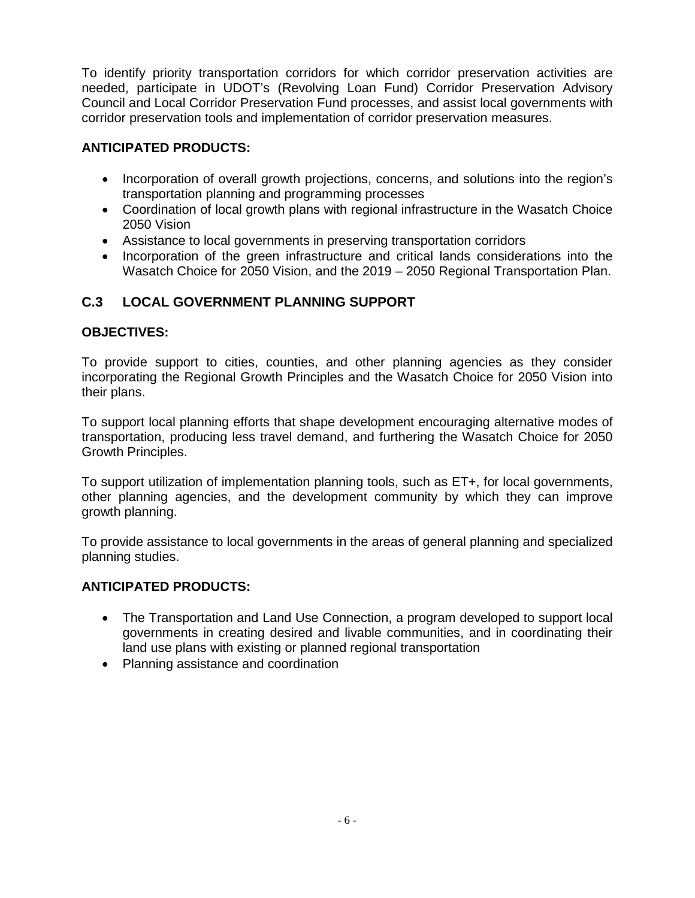To identify priority transportation corridors for which corridor preservation activities are needed, participate in UDOT's (Revolving Loan Fund) Corridor Preservation Advisory Council and Local Corridor Preservation Fund processes, and assist local governments with corridor preservation tools and implementation of corridor preservation measures.

## **ANTICIPATED PRODUCTS:**

- Incorporation of overall growth projections, concerns, and solutions into the region's transportation planning and programming processes
- Coordination of local growth plans with regional infrastructure in the Wasatch Choice 2050 Vision
- Assistance to local governments in preserving transportation corridors
- Incorporation of the green infrastructure and critical lands considerations into the Wasatch Choice for 2050 Vision, and the 2019 – 2050 Regional Transportation Plan.

## **C.3 LOCAL GOVERNMENT PLANNING SUPPORT**

## **OBJECTIVES:**

To provide support to cities, counties, and other planning agencies as they consider incorporating the Regional Growth Principles and the Wasatch Choice for 2050 Vision into their plans.

To support local planning efforts that shape development encouraging alternative modes of transportation, producing less travel demand, and furthering the Wasatch Choice for 2050 Growth Principles.

To support utilization of implementation planning tools, such as ET+, for local governments, other planning agencies, and the development community by which they can improve growth planning.

To provide assistance to local governments in the areas of general planning and specialized planning studies.

## **ANTICIPATED PRODUCTS:**

- The Transportation and Land Use Connection, a program developed to support local governments in creating desired and livable communities, and in coordinating their land use plans with existing or planned regional transportation
- Planning assistance and coordination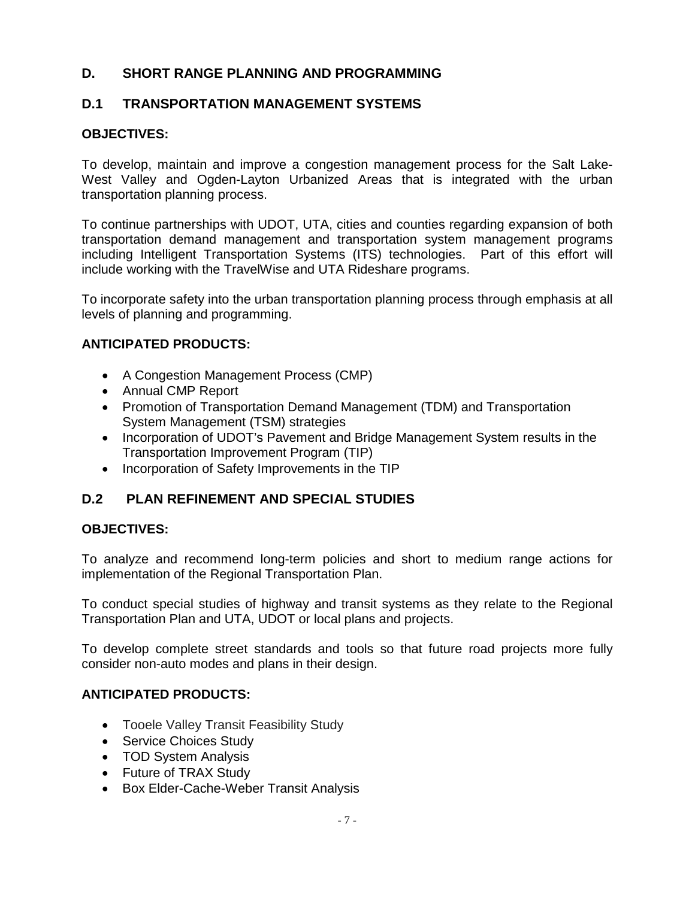## **D. SHORT RANGE PLANNING AND PROGRAMMING**

## **D.1 TRANSPORTATION MANAGEMENT SYSTEMS**

## **OBJECTIVES:**

To develop, maintain and improve a congestion management process for the Salt Lake-West Valley and Ogden-Layton Urbanized Areas that is integrated with the urban transportation planning process.

To continue partnerships with UDOT, UTA, cities and counties regarding expansion of both transportation demand management and transportation system management programs including Intelligent Transportation Systems (ITS) technologies. Part of this effort will include working with the TravelWise and UTA Rideshare programs.

To incorporate safety into the urban transportation planning process through emphasis at all levels of planning and programming.

## **ANTICIPATED PRODUCTS:**

- A Congestion Management Process (CMP)
- Annual CMP Report
- Promotion of Transportation Demand Management (TDM) and Transportation System Management (TSM) strategies
- Incorporation of UDOT's Pavement and Bridge Management System results in the Transportation Improvement Program (TIP)
- Incorporation of Safety Improvements in the TIP

## **D.2 PLAN REFINEMENT AND SPECIAL STUDIES**

#### **OBJECTIVES:**

To analyze and recommend long-term policies and short to medium range actions for implementation of the Regional Transportation Plan.

To conduct special studies of highway and transit systems as they relate to the Regional Transportation Plan and UTA, UDOT or local plans and projects.

To develop complete street standards and tools so that future road projects more fully consider non-auto modes and plans in their design.

## **ANTICIPATED PRODUCTS:**

- Tooele Valley Transit Feasibility Study
- Service Choices Study
- TOD System Analysis
- Future of TRAX Study
- Box Elder-Cache-Weber Transit Analysis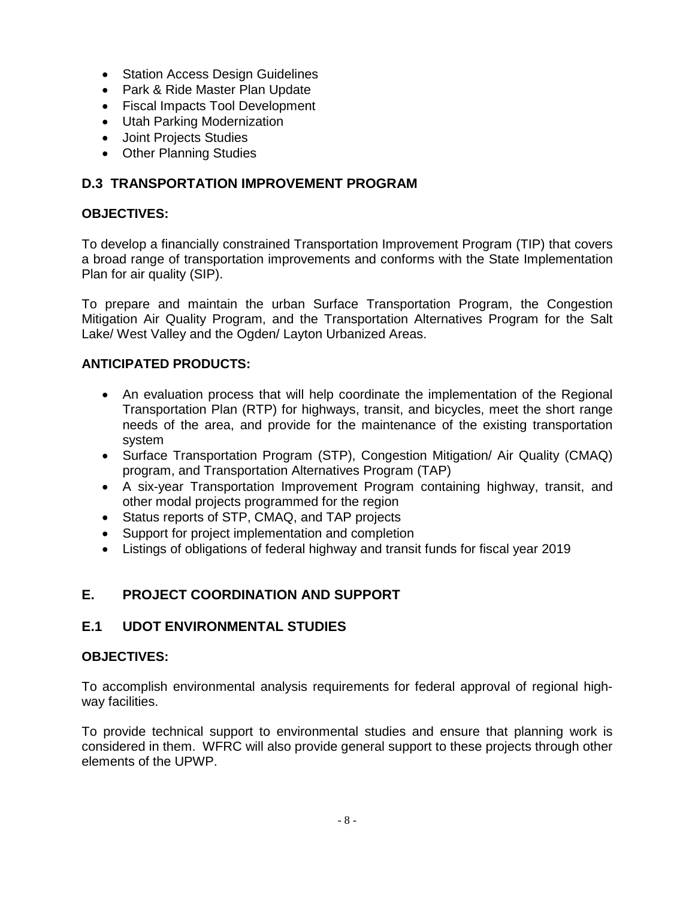- Station Access Design Guidelines
- Park & Ride Master Plan Update
- Fiscal Impacts Tool Development
- Utah Parking Modernization
- Joint Projects Studies
- Other Planning Studies

## **D.3 TRANSPORTATION IMPROVEMENT PROGRAM**

## **OBJECTIVES:**

To develop a financially constrained Transportation Improvement Program (TIP) that covers a broad range of transportation improvements and conforms with the State Implementation Plan for air quality (SIP).

To prepare and maintain the urban Surface Transportation Program, the Congestion Mitigation Air Quality Program, and the Transportation Alternatives Program for the Salt Lake/ West Valley and the Ogden/ Layton Urbanized Areas.

## **ANTICIPATED PRODUCTS:**

- An evaluation process that will help coordinate the implementation of the Regional Transportation Plan (RTP) for highways, transit, and bicycles, meet the short range needs of the area, and provide for the maintenance of the existing transportation system
- Surface Transportation Program (STP), Congestion Mitigation/ Air Quality (CMAQ) program, and Transportation Alternatives Program (TAP)
- A six-year Transportation Improvement Program containing highway, transit, and other modal projects programmed for the region
- Status reports of STP, CMAQ, and TAP projects
- Support for project implementation and completion
- Listings of obligations of federal highway and transit funds for fiscal year 2019

## **E. PROJECT COORDINATION AND SUPPORT**

## **E.1 UDOT ENVIRONMENTAL STUDIES**

## **OBJECTIVES:**

To accomplish environmental analysis requirements for federal approval of regional highway facilities.

To provide technical support to environmental studies and ensure that planning work is considered in them. WFRC will also provide general support to these projects through other elements of the UPWP.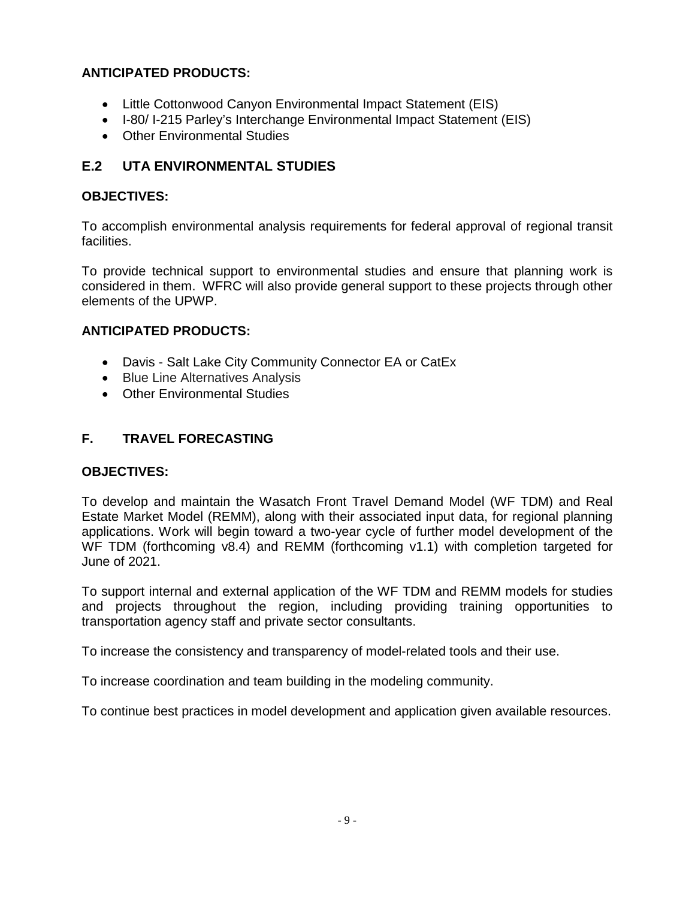## **ANTICIPATED PRODUCTS:**

- Little Cottonwood Canyon Environmental Impact Statement (EIS)
- I-80/ I-215 Parley's Interchange Environmental Impact Statement (EIS)
- Other Environmental Studies

## **E.2 UTA ENVIRONMENTAL STUDIES**

## **OBJECTIVES:**

To accomplish environmental analysis requirements for federal approval of regional transit facilities.

To provide technical support to environmental studies and ensure that planning work is considered in them. WFRC will also provide general support to these projects through other elements of the UPWP.

## **ANTICIPATED PRODUCTS:**

- Davis Salt Lake City Community Connector EA or CatEx
- Blue Line Alternatives Analysis
- Other Environmental Studies

## **F. TRAVEL FORECASTING**

## **OBJECTIVES:**

To develop and maintain the Wasatch Front Travel Demand Model (WF TDM) and Real Estate Market Model (REMM), along with their associated input data, for regional planning applications. Work will begin toward a two-year cycle of further model development of the WF TDM (forthcoming v8.4) and REMM (forthcoming v1.1) with completion targeted for June of 2021.

To support internal and external application of the WF TDM and REMM models for studies and projects throughout the region, including providing training opportunities to transportation agency staff and private sector consultants.

To increase the consistency and transparency of model-related tools and their use.

To increase coordination and team building in the modeling community.

To continue best practices in model development and application given available resources.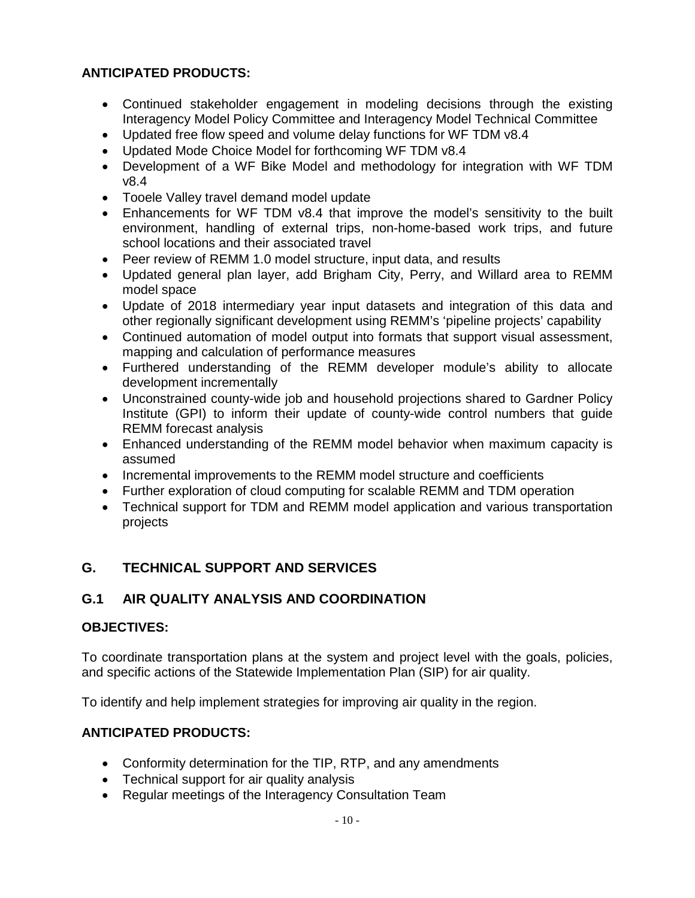## **ANTICIPATED PRODUCTS:**

- Continued stakeholder engagement in modeling decisions through the existing Interagency Model Policy Committee and Interagency Model Technical Committee
- Updated free flow speed and volume delay functions for WF TDM v8.4
- Updated Mode Choice Model for forthcoming WF TDM v8.4
- Development of a WF Bike Model and methodology for integration with WF TDM v8.4
- Tooele Valley travel demand model update
- Enhancements for WF TDM v8.4 that improve the model's sensitivity to the built environment, handling of external trips, non-home-based work trips, and future school locations and their associated travel
- Peer review of REMM 1.0 model structure, input data, and results
- Updated general plan layer, add Brigham City, Perry, and Willard area to REMM model space
- Update of 2018 intermediary year input datasets and integration of this data and other regionally significant development using REMM's 'pipeline projects' capability
- Continued automation of model output into formats that support visual assessment, mapping and calculation of performance measures
- Furthered understanding of the REMM developer module's ability to allocate development incrementally
- Unconstrained county-wide job and household projections shared to Gardner Policy Institute (GPI) to inform their update of county-wide control numbers that guide REMM forecast analysis
- Enhanced understanding of the REMM model behavior when maximum capacity is assumed
- Incremental improvements to the REMM model structure and coefficients
- Further exploration of cloud computing for scalable REMM and TDM operation
- Technical support for TDM and REMM model application and various transportation projects

## **G. TECHNICAL SUPPORT AND SERVICES**

## **G.1 AIR QUALITY ANALYSIS AND COORDINATION**

## **OBJECTIVES:**

To coordinate transportation plans at the system and project level with the goals, policies, and specific actions of the Statewide Implementation Plan (SIP) for air quality.

To identify and help implement strategies for improving air quality in the region.

## **ANTICIPATED PRODUCTS:**

- Conformity determination for the TIP, RTP, and any amendments
- Technical support for air quality analysis
- Regular meetings of the Interagency Consultation Team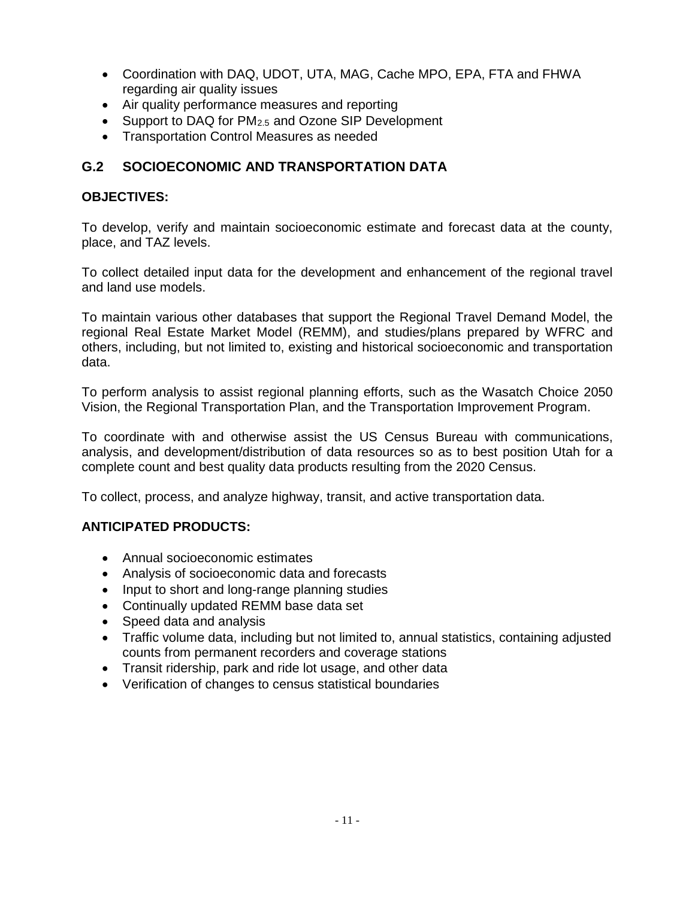- Coordination with DAQ, UDOT, UTA, MAG, Cache MPO, EPA, FTA and FHWA regarding air quality issues
- Air quality performance measures and reporting
- Support to DAQ for  $PM<sub>2.5</sub>$  and Ozone SIP Development
- Transportation Control Measures as needed

## **G.2 SOCIOECONOMIC AND TRANSPORTATION DATA**

## **OBJECTIVES:**

To develop, verify and maintain socioeconomic estimate and forecast data at the county, place, and TAZ levels.

To collect detailed input data for the development and enhancement of the regional travel and land use models.

To maintain various other databases that support the Regional Travel Demand Model, the regional Real Estate Market Model (REMM), and studies/plans prepared by WFRC and others, including, but not limited to, existing and historical socioeconomic and transportation data.

To perform analysis to assist regional planning efforts, such as the Wasatch Choice 2050 Vision, the Regional Transportation Plan, and the Transportation Improvement Program.

To coordinate with and otherwise assist the US Census Bureau with communications, analysis, and development/distribution of data resources so as to best position Utah for a complete count and best quality data products resulting from the 2020 Census.

To collect, process, and analyze highway, transit, and active transportation data.

## **ANTICIPATED PRODUCTS:**

- Annual socioeconomic estimates
- Analysis of socioeconomic data and forecasts
- Input to short and long-range planning studies
- Continually updated REMM base data set
- Speed data and analysis
- Traffic volume data, including but not limited to, annual statistics, containing adjusted counts from permanent recorders and coverage stations
- Transit ridership, park and ride lot usage, and other data
- Verification of changes to census statistical boundaries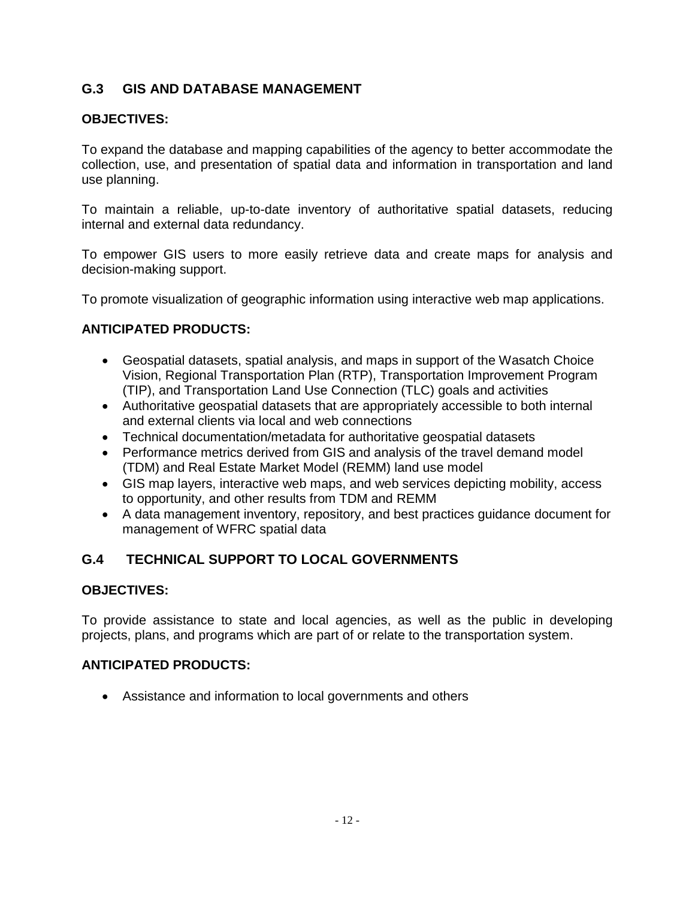## **G.3 GIS AND DATABASE MANAGEMENT**

## **OBJECTIVES:**

To expand the database and mapping capabilities of the agency to better accommodate the collection, use, and presentation of spatial data and information in transportation and land use planning.

To maintain a reliable, up-to-date inventory of authoritative spatial datasets, reducing internal and external data redundancy.

To empower GIS users to more easily retrieve data and create maps for analysis and decision-making support.

To promote visualization of geographic information using interactive web map applications.

## **ANTICIPATED PRODUCTS:**

- Geospatial datasets, spatial analysis, and maps in support of the Wasatch Choice Vision, Regional Transportation Plan (RTP), Transportation Improvement Program (TIP), and Transportation Land Use Connection (TLC) goals and activities
- Authoritative geospatial datasets that are appropriately accessible to both internal and external clients via local and web connections
- Technical documentation/metadata for authoritative geospatial datasets
- Performance metrics derived from GIS and analysis of the travel demand model (TDM) and Real Estate Market Model (REMM) land use model
- GIS map layers, interactive web maps, and web services depicting mobility, access to opportunity, and other results from TDM and REMM
- A data management inventory, repository, and best practices guidance document for management of WFRC spatial data

## **G.4 TECHNICAL SUPPORT TO LOCAL GOVERNMENTS**

## **OBJECTIVES:**

To provide assistance to state and local agencies, as well as the public in developing projects, plans, and programs which are part of or relate to the transportation system.

## **ANTICIPATED PRODUCTS:**

• Assistance and information to local governments and others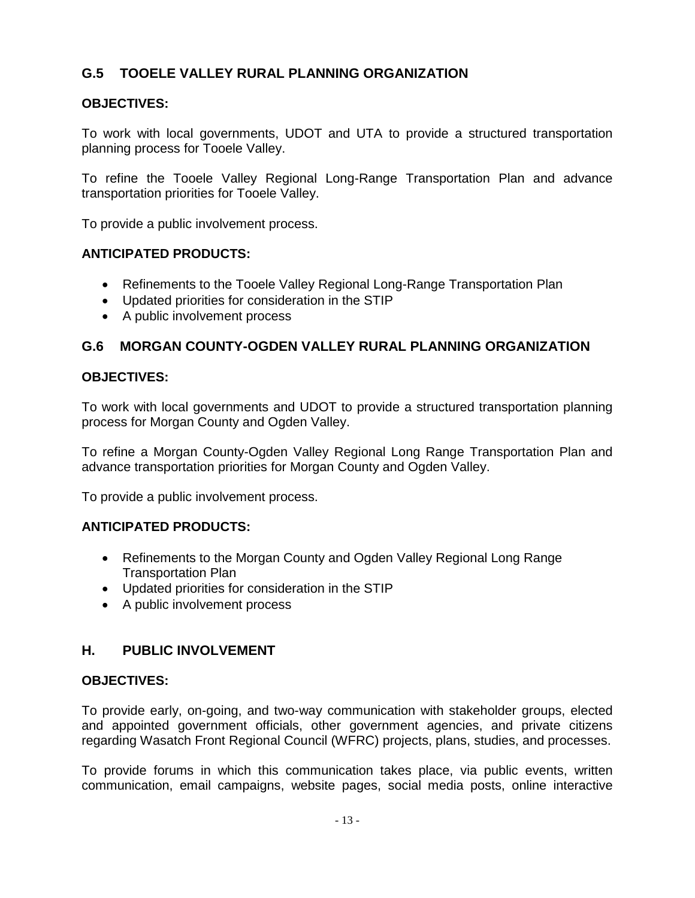## **G.5 TOOELE VALLEY RURAL PLANNING ORGANIZATION**

## **OBJECTIVES:**

To work with local governments, UDOT and UTA to provide a structured transportation planning process for Tooele Valley.

To refine the Tooele Valley Regional Long-Range Transportation Plan and advance transportation priorities for Tooele Valley.

To provide a public involvement process.

## **ANTICIPATED PRODUCTS:**

- Refinements to the Tooele Valley Regional Long-Range Transportation Plan
- Updated priorities for consideration in the STIP
- A public involvement process

## **G.6 MORGAN COUNTY-OGDEN VALLEY RURAL PLANNING ORGANIZATION**

## **OBJECTIVES:**

To work with local governments and UDOT to provide a structured transportation planning process for Morgan County and Ogden Valley.

To refine a Morgan County-Ogden Valley Regional Long Range Transportation Plan and advance transportation priorities for Morgan County and Ogden Valley.

To provide a public involvement process.

#### **ANTICIPATED PRODUCTS:**

- Refinements to the Morgan County and Ogden Valley Regional Long Range Transportation Plan
- Updated priorities for consideration in the STIP
- A public involvement process

## **H. PUBLIC INVOLVEMENT**

#### **OBJECTIVES:**

To provide early, on-going, and two-way communication with stakeholder groups, elected and appointed government officials, other government agencies, and private citizens regarding Wasatch Front Regional Council (WFRC) projects, plans, studies, and processes.

To provide forums in which this communication takes place, via public events, written communication, email campaigns, website pages, social media posts, online interactive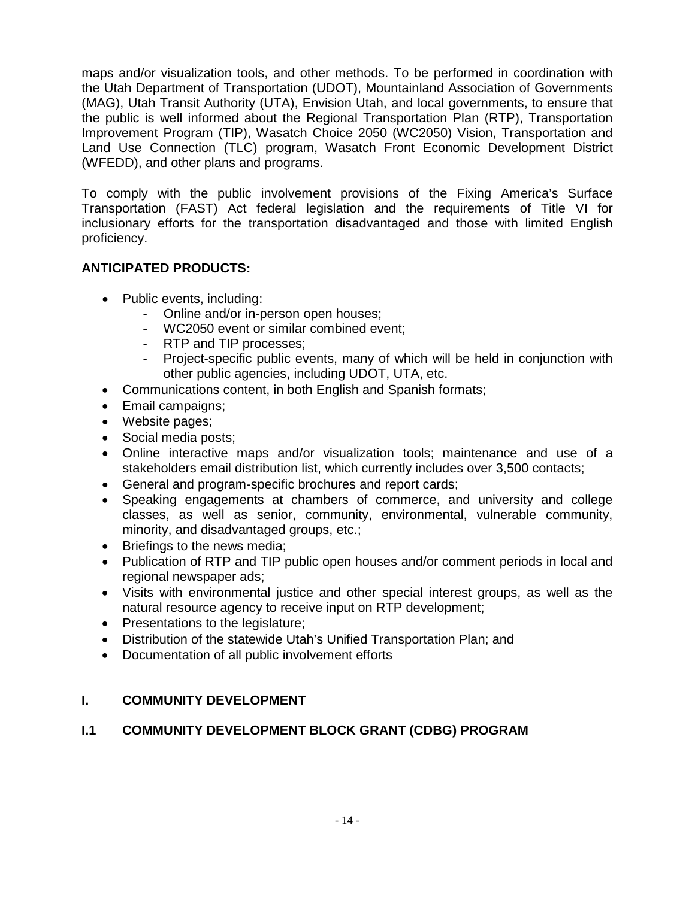maps and/or visualization tools, and other methods. To be performed in coordination with the Utah Department of Transportation (UDOT), Mountainland Association of Governments (MAG), Utah Transit Authority (UTA), Envision Utah, and local governments, to ensure that the public is well informed about the Regional Transportation Plan (RTP), Transportation Improvement Program (TIP), Wasatch Choice 2050 (WC2050) Vision, Transportation and Land Use Connection (TLC) program, Wasatch Front Economic Development District (WFEDD), and other plans and programs.

To comply with the public involvement provisions of the Fixing America's Surface Transportation (FAST) Act federal legislation and the requirements of Title VI for inclusionary efforts for the transportation disadvantaged and those with limited English proficiency.

## **ANTICIPATED PRODUCTS:**

- Public events, including:
	- Online and/or in-person open houses;
	- WC2050 event or similar combined event;
	- RTP and TIP processes;
	- Project-specific public events, many of which will be held in conjunction with other public agencies, including UDOT, UTA, etc.
- Communications content, in both English and Spanish formats;
- Email campaigns;
- Website pages;
- Social media posts;
- Online interactive maps and/or visualization tools; maintenance and use of a stakeholders email distribution list, which currently includes over 3,500 contacts;
- General and program-specific brochures and report cards;
- Speaking engagements at chambers of commerce, and university and college classes, as well as senior, community, environmental, vulnerable community, minority, and disadvantaged groups, etc.;
- Briefings to the news media;
- Publication of RTP and TIP public open houses and/or comment periods in local and regional newspaper ads;
- Visits with environmental justice and other special interest groups, as well as the natural resource agency to receive input on RTP development;
- Presentations to the legislature;
- Distribution of the statewide Utah's Unified Transportation Plan; and
- Documentation of all public involvement efforts

## **I. COMMUNITY DEVELOPMENT**

## **I.1 COMMUNITY DEVELOPMENT BLOCK GRANT (CDBG) PROGRAM**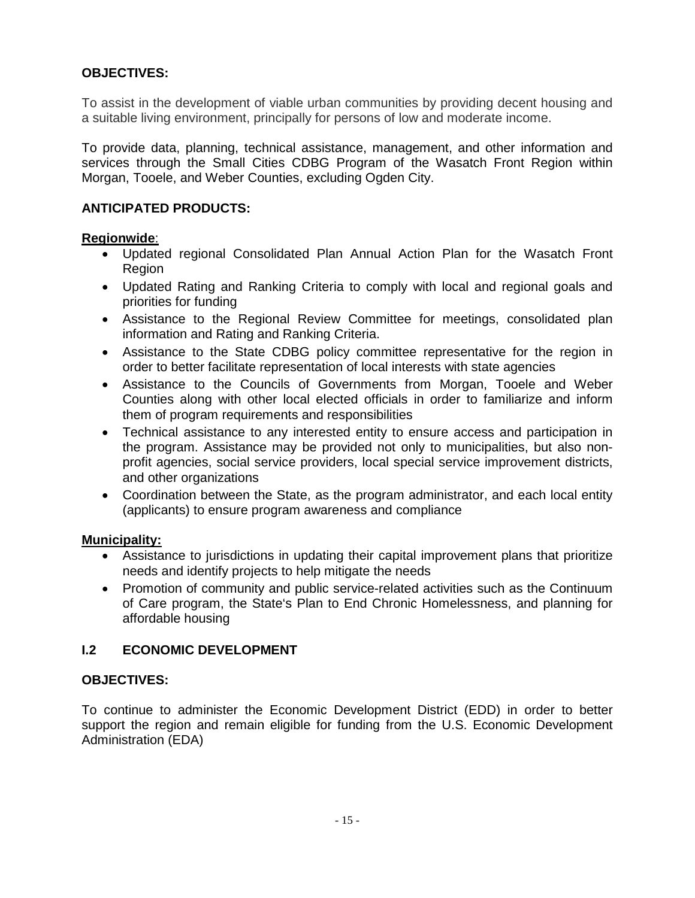## **OBJECTIVES:**

To assist in the development of viable urban communities by providing decent housing and a suitable living environment, principally for persons of low and moderate income.

To provide data, planning, technical assistance, management, and other information and services through the Small Cities CDBG Program of the Wasatch Front Region within Morgan, Tooele, and Weber Counties, excluding Ogden City.

## **ANTICIPATED PRODUCTS:**

#### **Regionwide**:

- Updated regional Consolidated Plan Annual Action Plan for the Wasatch Front Region
- Updated Rating and Ranking Criteria to comply with local and regional goals and priorities for funding
- Assistance to the Regional Review Committee for meetings, consolidated plan information and Rating and Ranking Criteria.
- Assistance to the State CDBG policy committee representative for the region in order to better facilitate representation of local interests with state agencies
- Assistance to the Councils of Governments from Morgan, Tooele and Weber Counties along with other local elected officials in order to familiarize and inform them of program requirements and responsibilities
- Technical assistance to any interested entity to ensure access and participation in the program. Assistance may be provided not only to municipalities, but also nonprofit agencies, social service providers, local special service improvement districts, and other organizations
- Coordination between the State, as the program administrator, and each local entity (applicants) to ensure program awareness and compliance

#### **Municipality:**

- Assistance to jurisdictions in updating their capital improvement plans that prioritize needs and identify projects to help mitigate the needs
- Promotion of community and public service-related activities such as the Continuum of Care program, the State's Plan to End Chronic Homelessness, and planning for affordable housing

## **I.2 ECONOMIC DEVELOPMENT**

#### **OBJECTIVES:**

To continue to administer the Economic Development District (EDD) in order to better support the region and remain eligible for funding from the U.S. Economic Development Administration (EDA)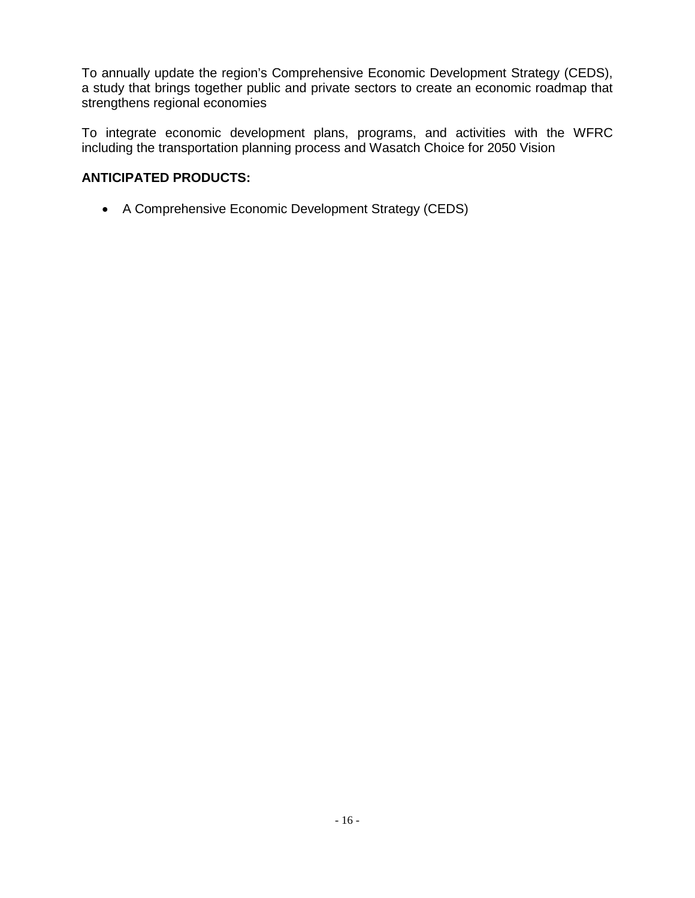To annually update the region's Comprehensive Economic Development Strategy (CEDS), a study that brings together public and private sectors to create an economic roadmap that strengthens regional economies

To integrate economic development plans, programs, and activities with the WFRC including the transportation planning process and Wasatch Choice for 2050 Vision

## **ANTICIPATED PRODUCTS:**

• A Comprehensive Economic Development Strategy (CEDS)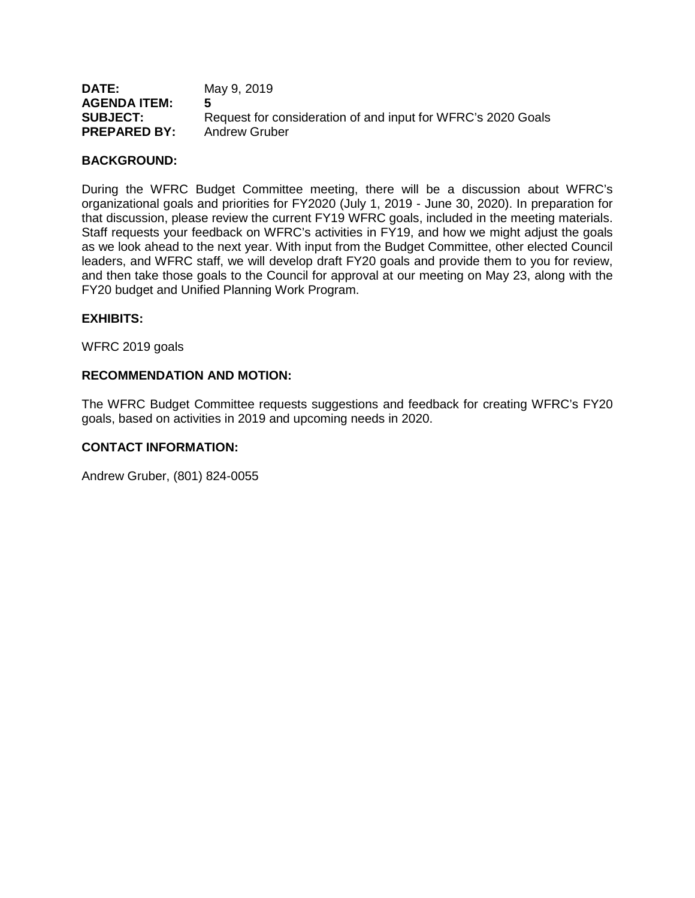| <b>DATE:</b><br><b>AGENDA ITEM:</b> | May 9, 2019                                                  |
|-------------------------------------|--------------------------------------------------------------|
| <b>SUBJECT:</b>                     | Request for consideration of and input for WFRC's 2020 Goals |
| <b>PREPARED BY:</b>                 | <b>Andrew Gruber</b>                                         |

#### **BACKGROUND:**

During the WFRC Budget Committee meeting, there will be a discussion about WFRC's organizational goals and priorities for FY2020 (July 1, 2019 - June 30, 2020). In preparation for that discussion, please review the current FY19 WFRC goals, included in the meeting materials. Staff requests your feedback on WFRC's activities in FY19, and how we might adjust the goals as we look ahead to the next year. With input from the Budget Committee, other elected Council leaders, and WFRC staff, we will develop draft FY20 goals and provide them to you for review, and then take those goals to the Council for approval at our meeting on May 23, along with the FY20 budget and Unified Planning Work Program.

#### **EXHIBITS:**

WFRC 2019 goals

#### **RECOMMENDATION AND MOTION:**

The WFRC Budget Committee requests suggestions and feedback for creating WFRC's FY20 goals, based on activities in 2019 and upcoming needs in 2020.

#### **CONTACT INFORMATION:**

Andrew Gruber, (801) 824-0055